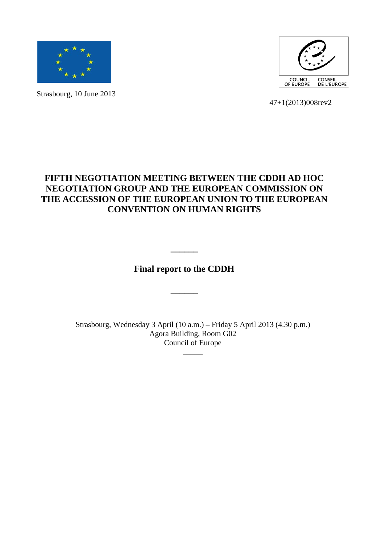

Strasbourg, 10 June 2013



47+1(2013)008rev2

# **FIFTH NEGOTIATION MEETING BETWEEN THE CDDH AD HOC NEGOTIATION GROUP AND THE EUROPEAN COMMISSION ON THE ACCESSION OF THE EUROPEAN UNION TO THE EUROPEAN CONVENTION ON HUMAN RIGHTS**

**Final report to the CDDH**

**\_\_\_\_\_\_**

**\_\_\_\_\_\_**

Strasbourg, Wednesday 3 April (10 a.m.) – Friday 5 April 2013 (4.30 p.m.) Agora Building, Room G02 Council of Europe

 $\overline{\phantom{a}}$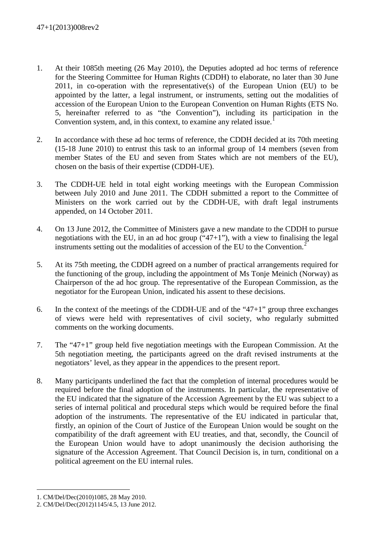- 1. At their 1085th meeting (26 May 2010), the Deputies adopted ad hoc terms of reference for the Steering Committee for Human Rights (CDDH) to elaborate, no later than 30 June  $2011$ , in co-operation with the representative(s) of the European Union (EU) to be appointed by the latter, a legal instrument, or instruments, setting out the modalities of accession of the European Union to the European Convention on Human Rights (ETS No. 5, hereinafter referred to as "the Convention"), including its participation in the Convention system, and, in this context, to examine any related issue.[1](#page-1-0)
- 2. In accordance with these ad hoc terms of reference, the CDDH decided at its 70th meeting (15-18 June 2010) to entrust this task to an informal group of 14 members (seven from member States of the EU and seven from States which are not members of the EU), chosen on the basis of their expertise (CDDH-UE).
- 3. The CDDH-UE held in total eight working meetings with the European Commission between July 2010 and June 2011. The CDDH submitted a report to the Committee of Ministers on the work carried out by the CDDH-UE, with draft legal instruments appended, on 14 October 2011.
- 4. On 13 June 2012, the Committee of Ministers gave a new mandate to the CDDH to pursue negotiations with the EU, in an ad hoc group  $("47+1")$ , with a view to finalising the legal instruments setting out the modalities of accession of the EU to the Convention.<sup>[2](#page-1-1)</sup>
- 5. At its 75th meeting, the CDDH agreed on a number of practical arrangements required for the functioning of the group, including the appointment of Ms Tonje Meinich (Norway) as Chairperson of the ad hoc group. The representative of the European Commission, as the negotiator for the European Union, indicated his assent to these decisions.
- 6. In the context of the meetings of the CDDH-UE and of the " $47+1$ " group three exchanges of views were held with representatives of civil society, who regularly submitted comments on the working documents.
- 7. The "47+1" group held five negotiation meetings with the European Commission. At the 5th negotiation meeting, the participants agreed on the draft revised instruments at the negotiators' level, as they appear in the appendices to the present report.
- 8. Many participants underlined the fact that the completion of internal procedures would be required before the final adoption of the instruments. In particular, the representative of the EU indicated that the signature of the Accession Agreement by the EU was subject to a series of internal political and procedural steps which would be required before the final adoption of the instruments. The representative of the EU indicated in particular that, firstly, an opinion of the Court of Justice of the European Union would be sought on the compatibility of the draft agreement with EU treaties, and that, secondly, the Council of the European Union would have to adopt unanimously the decision authorising the signature of the Accession Agreement. That Council Decision is, in turn, conditional on a political agreement on the EU internal rules.

<u>.</u>

<span id="page-1-0"></span><sup>1.</sup> CM/Del/Dec(2010)1085, 28 May 2010.

<span id="page-1-1"></span><sup>2.</sup> CM/Del/Dec(2012)1145/4.5, 13 June 2012.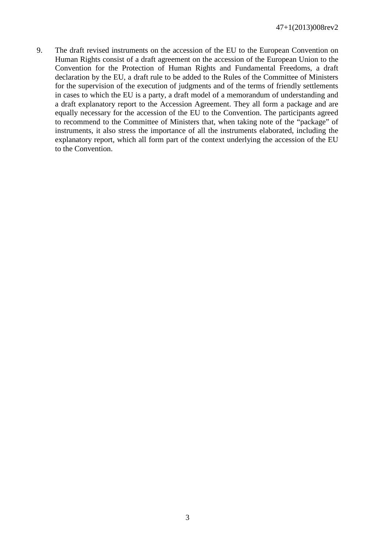9. The draft revised instruments on the accession of the EU to the European Convention on Human Rights consist of a draft agreement on the accession of the European Union to the Convention for the Protection of Human Rights and Fundamental Freedoms, a draft declaration by the EU, a draft rule to be added to the Rules of the Committee of Ministers for the supervision of the execution of judgments and of the terms of friendly settlements in cases to which the EU is a party, a draft model of a memorandum of understanding and a draft explanatory report to the Accession Agreement. They all form a package and are equally necessary for the accession of the EU to the Convention. The participants agreed to recommend to the Committee of Ministers that, when taking note of the "package" of instruments, it also stress the importance of all the instruments elaborated, including the explanatory report, which all form part of the context underlying the accession of the EU to the Convention.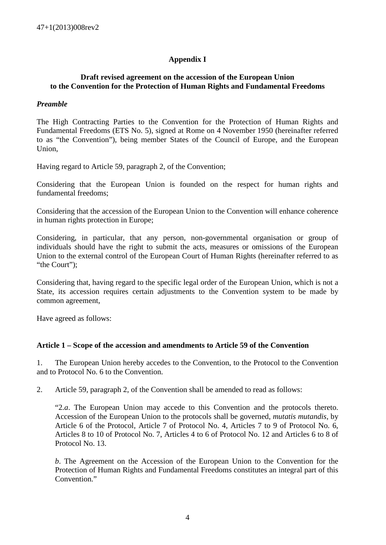# **Appendix I**

#### **Draft revised agreement on the accession of the European Union to the Convention for the Protection of Human Rights and Fundamental Freedoms**

#### *Preamble*

The High Contracting Parties to the Convention for the Protection of Human Rights and Fundamental Freedoms (ETS No. 5), signed at Rome on 4 November 1950 (hereinafter referred to as "the Convention"), being member States of the Council of Europe, and the European Union,

Having regard to Article 59, paragraph 2, of the Convention;

Considering that the European Union is founded on the respect for human rights and fundamental freedoms;

Considering that the accession of the European Union to the Convention will enhance coherence in human rights protection in Europe;

Considering, in particular, that any person, non-governmental organisation or group of individuals should have the right to submit the acts, measures or omissions of the European Union to the external control of the European Court of Human Rights (hereinafter referred to as "the Court":

Considering that, having regard to the specific legal order of the European Union, which is not a State, its accession requires certain adjustments to the Convention system to be made by common agreement,

Have agreed as follows:

#### **Article 1 – Scope of the accession and amendments to Article 59 of the Convention**

1. The European Union hereby accedes to the Convention, to the Protocol to the Convention and to Protocol No. 6 to the Convention.

2. Article 59, paragraph 2, of the Convention shall be amended to read as follows:

"2.*a*. The European Union may accede to this Convention and the protocols thereto. Accession of the European Union to the protocols shall be governed, *mutatis mutandis*, by Article 6 of the Protocol, Article 7 of Protocol No. 4, Articles 7 to 9 of Protocol No. 6, Articles 8 to 10 of Protocol No. 7, Articles 4 to 6 of Protocol No. 12 and Articles 6 to 8 of Protocol No. 13.

*b*. The Agreement on the Accession of the European Union to the Convention for the Protection of Human Rights and Fundamental Freedoms constitutes an integral part of this Convention<sup>"</sup>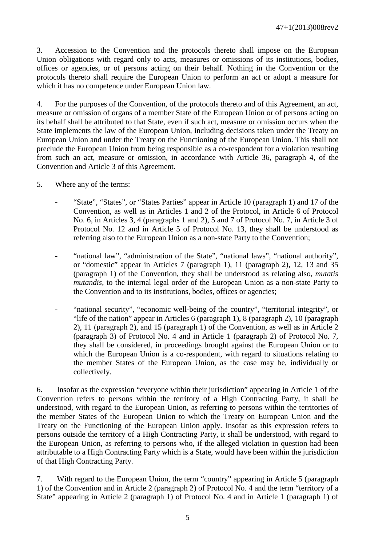3. Accession to the Convention and the protocols thereto shall impose on the European Union obligations with regard only to acts, measures or omissions of its institutions, bodies, offices or agencies, or of persons acting on their behalf. Nothing in the Convention or the protocols thereto shall require the European Union to perform an act or adopt a measure for which it has no competence under European Union law.

4. For the purposes of the Convention, of the protocols thereto and of this Agreement, an act, measure or omission of organs of a member State of the European Union or of persons acting on its behalf shall be attributed to that State, even if such act, measure or omission occurs when the State implements the law of the European Union, including decisions taken under the Treaty on European Union and under the Treaty on the Functioning of the European Union. This shall not preclude the European Union from being responsible as a co-respondent for a violation resulting from such an act, measure or omission, in accordance with Article 36, paragraph 4, of the Convention and Article 3 of this Agreement.

- 5. Where any of the terms:
	- **-** "State", "States", or "States Parties" appear in Article 10 (paragraph 1) and 17 of the Convention, as well as in Articles 1 and 2 of the Protocol, in Article 6 of Protocol No. 6, in Articles 3, 4 (paragraphs 1 and 2), 5 and 7 of Protocol No. 7, in Article 3 of Protocol No. 12 and in Article 5 of Protocol No. 13, they shall be understood as referring also to the European Union as a non-state Party to the Convention;
	- "national law", "administration of the State", "national laws", "national authority". or "domestic" appear in Articles 7 (paragraph 1), 11 (paragraph 2), 12, 13 and 35 (paragraph 1) of the Convention, they shall be understood as relating also, *mutatis mutandis*, to the internal legal order of the European Union as a non-state Party to the Convention and to its institutions, bodies, offices or agencies;
	- **-** "national security", "economic well-being of the country", "territorial integrity", or "life of the nation" appear in Articles 6 (paragraph 1), 8 (paragraph 2), 10 (paragraph 2), 11 (paragraph 2), and 15 (paragraph 1) of the Convention, as well as in Article 2 (paragraph 3) of Protocol No. 4 and in Article 1 (paragraph 2) of Protocol No. 7, they shall be considered, in proceedings brought against the European Union or to which the European Union is a co-respondent, with regard to situations relating to the member States of the European Union, as the case may be, individually or collectively.

6. Insofar as the expression "everyone within their jurisdiction" appearing in Article 1 of the Convention refers to persons within the territory of a High Contracting Party, it shall be understood, with regard to the European Union, as referring to persons within the territories of the member States of the European Union to which the Treaty on European Union and the Treaty on the Functioning of the European Union apply. Insofar as this expression refers to persons outside the territory of a High Contracting Party, it shall be understood, with regard to the European Union, as referring to persons who, if the alleged violation in question had been attributable to a High Contracting Party which is a State, would have been within the jurisdiction of that High Contracting Party.

7. With regard to the European Union, the term "country" appearing in Article 5 (paragraph 1) of the Convention and in Article 2 (paragraph 2) of Protocol No. 4 and the term "territory of a State" appearing in Article 2 (paragraph 1) of Protocol No. 4 and in Article 1 (paragraph 1) of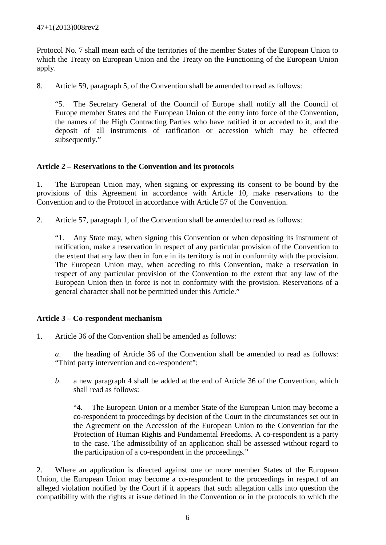Protocol No. 7 shall mean each of the territories of the member States of the European Union to which the Treaty on European Union and the Treaty on the Functioning of the European Union apply.

8. Article 59, paragraph 5, of the Convention shall be amended to read as follows:

"5. The Secretary General of the Council of Europe shall notify all the Council of Europe member States and the European Union of the entry into force of the Convention, the names of the High Contracting Parties who have ratified it or acceded to it, and the deposit of all instruments of ratification or accession which may be effected subsequently."

# **Article 2 – Reservations to the Convention and its protocols**

1. The European Union may, when signing or expressing its consent to be bound by the provisions of this Agreement in accordance with Article 10, make reservations to the Convention and to the Protocol in accordance with Article 57 of the Convention.

2. Article 57, paragraph 1, of the Convention shall be amended to read as follows:

"1. Any State may, when signing this Convention or when depositing its instrument of ratification, make a reservation in respect of any particular provision of the Convention to the extent that any law then in force in its territory is not in conformity with the provision. The European Union may, when acceding to this Convention, make a reservation in respect of any particular provision of the Convention to the extent that any law of the European Union then in force is not in conformity with the provision. Reservations of a general character shall not be permitted under this Article."

# **Article 3 – Co-respondent mechanism**

1. Article 36 of the Convention shall be amended as follows:

*a*. the heading of Article 36 of the Convention shall be amended to read as follows: "Third party intervention and co-respondent";

*b*. a new paragraph 4 shall be added at the end of Article 36 of the Convention, which shall read as follows:

"4. The European Union or a member State of the European Union may become a co-respondent to proceedings by decision of the Court in the circumstances set out in the Agreement on the Accession of the European Union to the Convention for the Protection of Human Rights and Fundamental Freedoms. A co-respondent is a party to the case. The admissibility of an application shall be assessed without regard to the participation of a co-respondent in the proceedings."

2. Where an application is directed against one or more member States of the European Union, the European Union may become a co-respondent to the proceedings in respect of an alleged violation notified by the Court if it appears that such allegation calls into question the compatibility with the rights at issue defined in the Convention or in the protocols to which the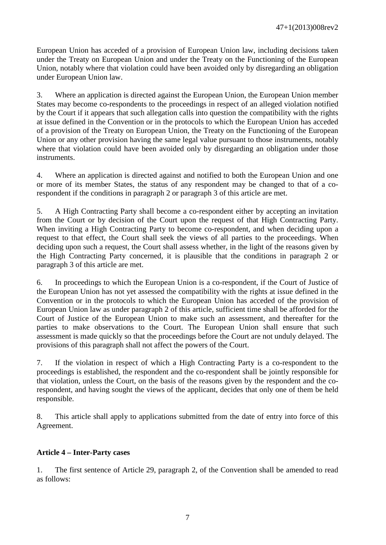European Union has acceded of a provision of European Union law, including decisions taken under the Treaty on European Union and under the Treaty on the Functioning of the European Union, notably where that violation could have been avoided only by disregarding an obligation under European Union law.

3. Where an application is directed against the European Union, the European Union member States may become co-respondents to the proceedings in respect of an alleged violation notified by the Court if it appears that such allegation calls into question the compatibility with the rights at issue defined in the Convention or in the protocols to which the European Union has acceded of a provision of the Treaty on European Union, the Treaty on the Functioning of the European Union or any other provision having the same legal value pursuant to those instruments, notably where that violation could have been avoided only by disregarding an obligation under those instruments.

4. Where an application is directed against and notified to both the European Union and one or more of its member States, the status of any respondent may be changed to that of a corespondent if the conditions in paragraph 2 or paragraph 3 of this article are met.

5. A High Contracting Party shall become a co-respondent either by accepting an invitation from the Court or by decision of the Court upon the request of that High Contracting Party. When inviting a High Contracting Party to become co-respondent, and when deciding upon a request to that effect, the Court shall seek the views of all parties to the proceedings. When deciding upon such a request, the Court shall assess whether, in the light of the reasons given by the High Contracting Party concerned, it is plausible that the conditions in paragraph 2 or paragraph 3 of this article are met.

6. In proceedings to which the European Union is a co-respondent, if the Court of Justice of the European Union has not yet assessed the compatibility with the rights at issue defined in the Convention or in the protocols to which the European Union has acceded of the provision of European Union law as under paragraph 2 of this article, sufficient time shall be afforded for the Court of Justice of the European Union to make such an assessment, and thereafter for the parties to make observations to the Court. The European Union shall ensure that such assessment is made quickly so that the proceedings before the Court are not unduly delayed. The provisions of this paragraph shall not affect the powers of the Court.

7. If the violation in respect of which a High Contracting Party is a co-respondent to the proceedings is established, the respondent and the co-respondent shall be jointly responsible for that violation, unless the Court, on the basis of the reasons given by the respondent and the corespondent, and having sought the views of the applicant, decides that only one of them be held responsible.

8. This article shall apply to applications submitted from the date of entry into force of this Agreement.

# **Article 4 – Inter-Party cases**

1. The first sentence of Article 29, paragraph 2, of the Convention shall be amended to read as follows: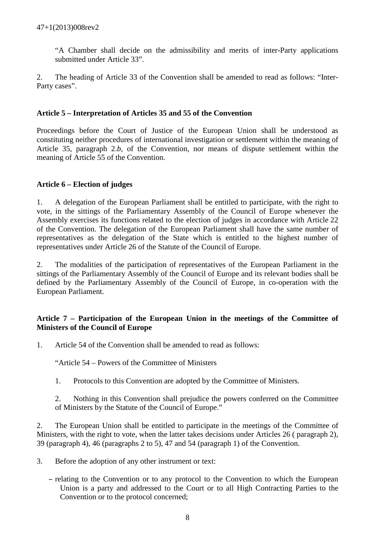"A Chamber shall decide on the admissibility and merits of inter-Party applications submitted under Article 33".

2. The heading of Article 33 of the Convention shall be amended to read as follows: "Inter-Party cases".

# **Article 5 – Interpretation of Articles 35 and 55 of the Convention**

Proceedings before the Court of Justice of the European Union shall be understood as constituting neither procedures of international investigation or settlement within the meaning of Article 35, paragraph 2.*b*, of the Convention, nor means of dispute settlement within the meaning of Article 55 of the Convention.

# **Article 6 – Election of judges**

1. A delegation of the European Parliament shall be entitled to participate, with the right to vote, in the sittings of the Parliamentary Assembly of the Council of Europe whenever the Assembly exercises its functions related to the election of judges in accordance with Article 22 of the Convention. The delegation of the European Parliament shall have the same number of representatives as the delegation of the State which is entitled to the highest number of representatives under Article 26 of the Statute of the Council of Europe.

2. The modalities of the participation of representatives of the European Parliament in the sittings of the Parliamentary Assembly of the Council of Europe and its relevant bodies shall be defined by the Parliamentary Assembly of the Council of Europe, in co-operation with the European Parliament.

#### **Article 7 – Participation of the European Union in the meetings of the Committee of Ministers of the Council of Europe**

1. Article 54 of the Convention shall be amended to read as follows:

"Article 54 – Powers of the Committee of Ministers

1. Protocols to this Convention are adopted by the Committee of Ministers.

2. Nothing in this Convention shall prejudice the powers conferred on the Committee of Ministers by the Statute of the Council of Europe."

2. The European Union shall be entitled to participate in the meetings of the Committee of Ministers, with the right to vote, when the latter takes decisions under Articles 26 ( paragraph 2), 39 (paragraph 4), 46 (paragraphs 2 to 5), 47 and 54 (paragraph 1) of the Convention.

3. Before the adoption of any other instrument or text:

*–* relating to the Convention or to any protocol to the Convention to which the European Union is a party and addressed to the Court or to all High Contracting Parties to the Convention or to the protocol concerned;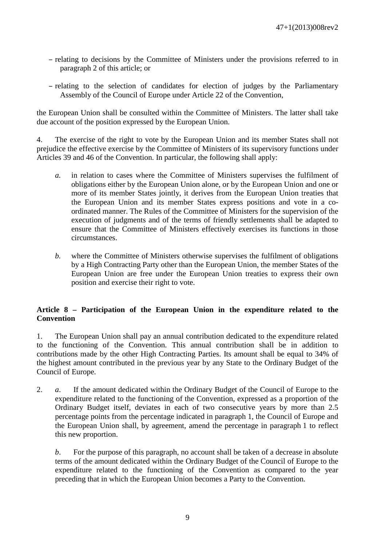- *–* relating to decisions by the Committee of Ministers under the provisions referred to in paragraph 2 of this article; or
- *–* relating to the selection of candidates for election of judges by the Parliamentary Assembly of the Council of Europe under Article 22 of the Convention,

the European Union shall be consulted within the Committee of Ministers. The latter shall take due account of the position expressed by the European Union.

4. The exercise of the right to vote by the European Union and its member States shall not prejudice the effective exercise by the Committee of Ministers of its supervisory functions under Articles 39 and 46 of the Convention. In particular, the following shall apply:

- *a.* in relation to cases where the Committee of Ministers supervises the fulfilment of obligations either by the European Union alone, or by the European Union and one or more of its member States jointly, it derives from the European Union treaties that the European Union and its member States express positions and vote in a coordinated manner. The Rules of the Committee of Ministers for the supervision of the execution of judgments and of the terms of friendly settlements shall be adapted to ensure that the Committee of Ministers effectively exercises its functions in those circumstances.
- *b.* where the Committee of Ministers otherwise supervises the fulfilment of obligations by a High Contracting Party other than the European Union, the member States of the European Union are free under the European Union treaties to express their own position and exercise their right to vote.

# **Article 8 – Participation of the European Union in the expenditure related to the Convention**

1. The European Union shall pay an annual contribution dedicated to the expenditure related to the functioning of the Convention. This annual contribution shall be in addition to contributions made by the other High Contracting Parties. Its amount shall be equal to 34% of the highest amount contributed in the previous year by any State to the Ordinary Budget of the Council of Europe.

2. *a*. If the amount dedicated within the Ordinary Budget of the Council of Europe to the expenditure related to the functioning of the Convention, expressed as a proportion of the Ordinary Budget itself, deviates in each of two consecutive years by more than 2.5 percentage points from the percentage indicated in paragraph 1, the Council of Europe and the European Union shall, by agreement, amend the percentage in paragraph 1 to reflect this new proportion.

*b*. For the purpose of this paragraph, no account shall be taken of a decrease in absolute terms of the amount dedicated within the Ordinary Budget of the Council of Europe to the expenditure related to the functioning of the Convention as compared to the year preceding that in which the European Union becomes a Party to the Convention.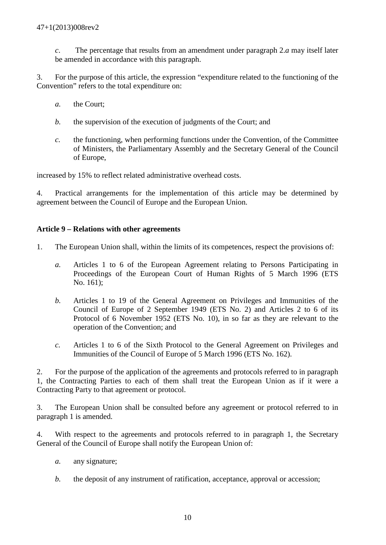*c*. The percentage that results from an amendment under paragraph 2.*a* may itself later be amended in accordance with this paragraph.

3. For the purpose of this article, the expression "expenditure related to the functioning of the Convention" refers to the total expenditure on:

- *a.* the Court;
- *b.* the supervision of the execution of judgments of the Court; and
- *c.* the functioning, when performing functions under the Convention, of the Committee of Ministers, the Parliamentary Assembly and the Secretary General of the Council of Europe,

increased by 15% to reflect related administrative overhead costs.

4. Practical arrangements for the implementation of this article may be determined by agreement between the Council of Europe and the European Union.

#### **Article 9 – Relations with other agreements**

- 1. The European Union shall, within the limits of its competences, respect the provisions of:
	- *a.* Articles 1 to 6 of the European Agreement relating to Persons Participating in Proceedings of the European Court of Human Rights of 5 March 1996 (ETS No. 161);
	- *b.* Articles 1 to 19 of the General Agreement on Privileges and Immunities of the Council of Europe of 2 September 1949 (ETS No. 2) and Articles 2 to 6 of its Protocol of 6 November 1952 (ETS No. 10), in so far as they are relevant to the operation of the Convention; and
	- *c.* Articles 1 to 6 of the Sixth Protocol to the General Agreement on Privileges and Immunities of the Council of Europe of 5 March 1996 (ETS No. 162).

2. For the purpose of the application of the agreements and protocols referred to in paragraph 1, the Contracting Parties to each of them shall treat the European Union as if it were a Contracting Party to that agreement or protocol.

3. The European Union shall be consulted before any agreement or protocol referred to in paragraph 1 is amended.

4. With respect to the agreements and protocols referred to in paragraph 1, the Secretary General of the Council of Europe shall notify the European Union of:

- *a.* any signature;
- *b.* the deposit of any instrument of ratification, acceptance, approval or accession;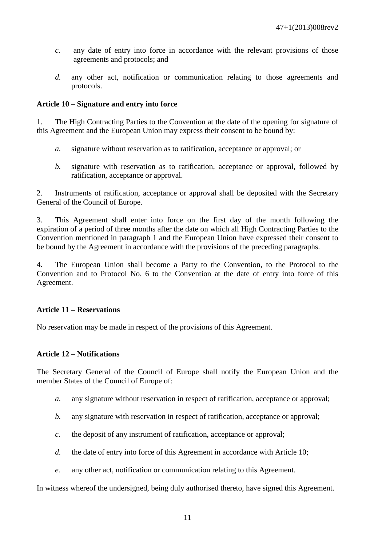- *c.* any date of entry into force in accordance with the relevant provisions of those agreements and protocols; and
- *d.* any other act, notification or communication relating to those agreements and protocols.

#### **Article 10 – Signature and entry into force**

1. The High Contracting Parties to the Convention at the date of the opening for signature of this Agreement and the European Union may express their consent to be bound by:

- *a.* signature without reservation as to ratification, acceptance or approval; or
- *b.* signature with reservation as to ratification, acceptance or approval, followed by ratification, acceptance or approval.

2. Instruments of ratification, acceptance or approval shall be deposited with the Secretary General of the Council of Europe.

3. This Agreement shall enter into force on the first day of the month following the expiration of a period of three months after the date on which all High Contracting Parties to the Convention mentioned in paragraph 1 and the European Union have expressed their consent to be bound by the Agreement in accordance with the provisions of the preceding paragraphs.

4. The European Union shall become a Party to the Convention, to the Protocol to the Convention and to Protocol No. 6 to the Convention at the date of entry into force of this Agreement.

#### **Article 11 – Reservations**

No reservation may be made in respect of the provisions of this Agreement.

# **Article 12 – Notifications**

The Secretary General of the Council of Europe shall notify the European Union and the member States of the Council of Europe of:

- *a.* any signature without reservation in respect of ratification, acceptance or approval;
- *b.* any signature with reservation in respect of ratification, acceptance or approval;
- *c.* the deposit of any instrument of ratification, acceptance or approval;
- *d.* the date of entry into force of this Agreement in accordance with Article 10;
- *e.* any other act, notification or communication relating to this Agreement.

In witness whereof the undersigned, being duly authorised thereto, have signed this Agreement.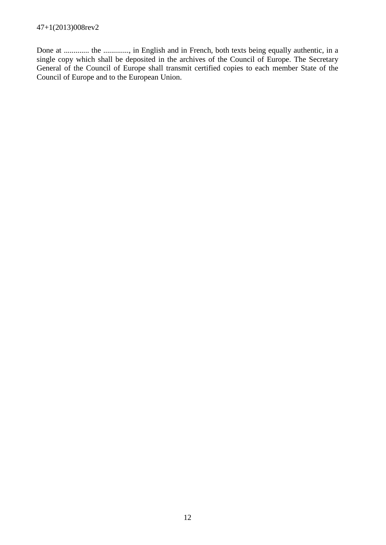Done at ............. the ............., in English and in French, both texts being equally authentic, in a single copy which shall be deposited in the archives of the Council of Europe. The Secretary General of the Council of Europe shall transmit certified copies to each member State of the Council of Europe and to the European Union.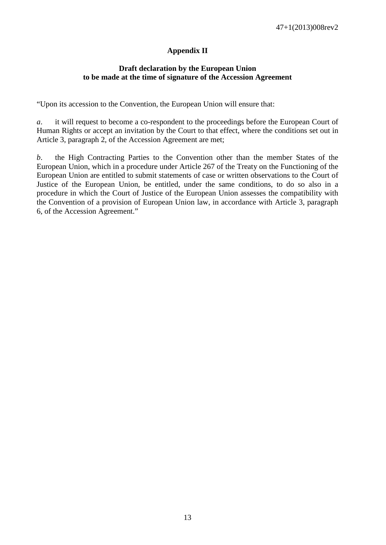# **Appendix II**

# **Draft declaration by the European Union to be made at the time of signature of the Accession Agreement**

"Upon its accession to the Convention, the European Union will ensure that:

*a*. it will request to become a co-respondent to the proceedings before the European Court of Human Rights or accept an invitation by the Court to that effect, where the conditions set out in Article 3, paragraph 2, of the Accession Agreement are met;

*b*. the High Contracting Parties to the Convention other than the member States of the European Union, which in a procedure under Article 267 of the Treaty on the Functioning of the European Union are entitled to submit statements of case or written observations to the Court of Justice of the European Union, be entitled, under the same conditions, to do so also in a procedure in which the Court of Justice of the European Union assesses the compatibility with the Convention of a provision of European Union law, in accordance with Article 3, paragraph 6, of the Accession Agreement."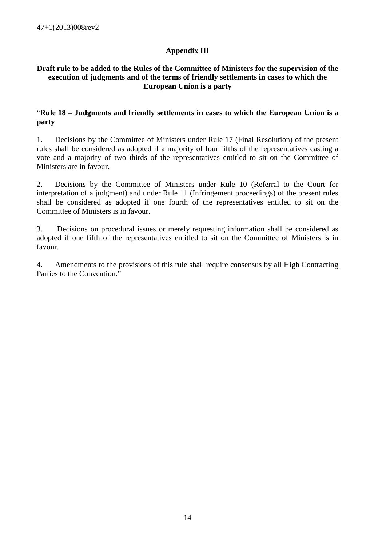# **Appendix III**

# **Draft rule to be added to the Rules of the Committee of Ministers for the supervision of the execution of judgments and of the terms of friendly settlements in cases to which the European Union is a party**

# "**Rule 18 – Judgments and friendly settlements in cases to which the European Union is a party**

1. Decisions by the Committee of Ministers under Rule 17 (Final Resolution) of the present rules shall be considered as adopted if a majority of four fifths of the representatives casting a vote and a majority of two thirds of the representatives entitled to sit on the Committee of Ministers are in favour.

2. Decisions by the Committee of Ministers under Rule 10 (Referral to the Court for interpretation of a judgment) and under Rule 11 (Infringement proceedings) of the present rules shall be considered as adopted if one fourth of the representatives entitled to sit on the Committee of Ministers is in favour.

3. Decisions on procedural issues or merely requesting information shall be considered as adopted if one fifth of the representatives entitled to sit on the Committee of Ministers is in favour.

4. Amendments to the provisions of this rule shall require consensus by all High Contracting Parties to the Convention."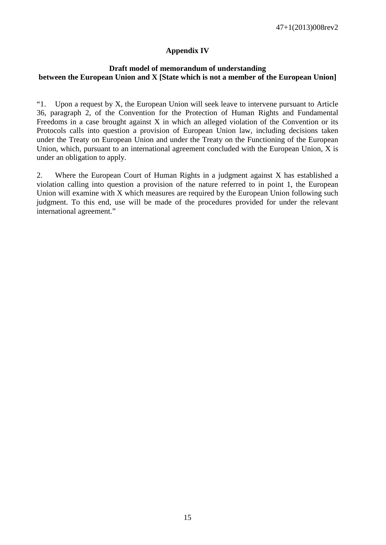# **Appendix IV**

# **Draft model of memorandum of understanding between the European Union and X [State which is not a member of the European Union]**

"1. Upon a request by X, the European Union will seek leave to intervene pursuant to Article 36, paragraph 2, of the Convention for the Protection of Human Rights and Fundamental Freedoms in a case brought against X in which an alleged violation of the Convention or its Protocols calls into question a provision of European Union law, including decisions taken under the Treaty on European Union and under the Treaty on the Functioning of the European Union, which, pursuant to an international agreement concluded with the European Union, X is under an obligation to apply.

2. Where the European Court of Human Rights in a judgment against X has established a violation calling into question a provision of the nature referred to in point 1, the European Union will examine with X which measures are required by the European Union following such judgment. To this end, use will be made of the procedures provided for under the relevant international agreement."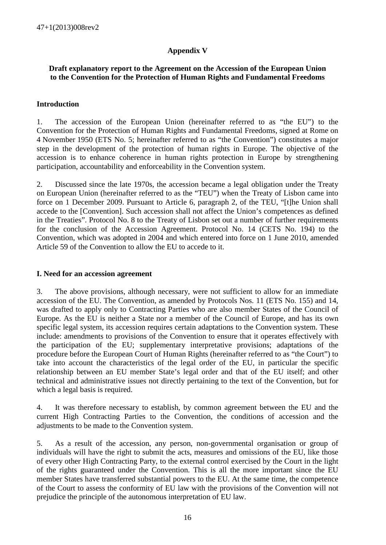# **Appendix V**

# **Draft explanatory report to the Agreement on the Accession of the European Union to the Convention for the Protection of Human Rights and Fundamental Freedoms**

#### **Introduction**

1. The accession of the European Union (hereinafter referred to as "the EU") to the Convention for the Protection of Human Rights and Fundamental Freedoms, signed at Rome on 4 November 1950 (ETS No. 5; hereinafter referred to as "the Convention") constitutes a major step in the development of the protection of human rights in Europe. The objective of the accession is to enhance coherence in human rights protection in Europe by strengthening participation, accountability and enforceability in the Convention system.

2. Discussed since the late 1970s, the accession became a legal obligation under the Treaty on European Union (hereinafter referred to as the "TEU") when the Treaty of Lisbon came into force on 1 December 2009. Pursuant to Article 6, paragraph 2, of the TEU, "[t]he Union shall accede to the [Convention]. Such accession shall not affect the Union's competences as defined in the Treaties". Protocol No. 8 to the Treaty of Lisbon set out a number of further requirements for the conclusion of the Accession Agreement. Protocol No. 14 (CETS No. 194) to the Convention, which was adopted in 2004 and which entered into force on 1 June 2010, amended Article 59 of the Convention to allow the EU to accede to it.

#### **I. Need for an accession agreement**

3. The above provisions, although necessary, were not sufficient to allow for an immediate accession of the EU. The Convention, as amended by Protocols Nos. 11 (ETS No. 155) and 14, was drafted to apply only to Contracting Parties who are also member States of the Council of Europe. As the EU is neither a State nor a member of the Council of Europe, and has its own specific legal system, its accession requires certain adaptations to the Convention system. These include: amendments to provisions of the Convention to ensure that it operates effectively with the participation of the EU; supplementary interpretative provisions; adaptations of the procedure before the European Court of Human Rights (hereinafter referred to as "the Court") to take into account the characteristics of the legal order of the EU, in particular the specific relationship between an EU member State's legal order and that of the EU itself; and other technical and administrative issues not directly pertaining to the text of the Convention, but for which a legal basis is required.

4. It was therefore necessary to establish, by common agreement between the EU and the current High Contracting Parties to the Convention, the conditions of accession and the adjustments to be made to the Convention system.

5. As a result of the accession, any person, non-governmental organisation or group of individuals will have the right to submit the acts, measures and omissions of the EU, like those of every other High Contracting Party, to the external control exercised by the Court in the light of the rights guaranteed under the Convention. This is all the more important since the EU member States have transferred substantial powers to the EU. At the same time, the competence of the Court to assess the conformity of EU law with the provisions of the Convention will not prejudice the principle of the autonomous interpretation of EU law.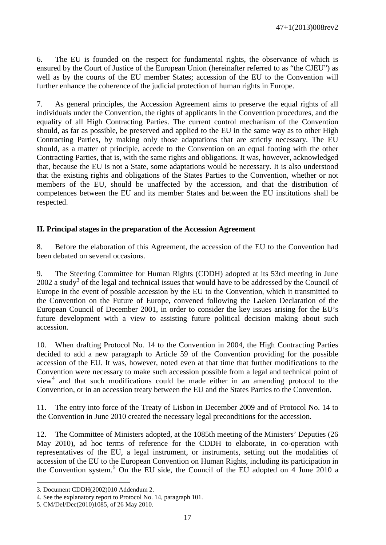6. The EU is founded on the respect for fundamental rights, the observance of which is ensured by the Court of Justice of the European Union (hereinafter referred to as "the CJEU") as well as by the courts of the EU member States; accession of the EU to the Convention will further enhance the coherence of the judicial protection of human rights in Europe.

7. As general principles, the Accession Agreement aims to preserve the equal rights of all individuals under the Convention, the rights of applicants in the Convention procedures, and the equality of all High Contracting Parties. The current control mechanism of the Convention should, as far as possible, be preserved and applied to the EU in the same way as to other High Contracting Parties, by making only those adaptations that are strictly necessary. The EU should, as a matter of principle, accede to the Convention on an equal footing with the other Contracting Parties, that is, with the same rights and obligations. It was, however, acknowledged that, because the EU is not a State, some adaptations would be necessary. It is also understood that the existing rights and obligations of the States Parties to the Convention, whether or not members of the EU, should be unaffected by the accession, and that the distribution of competences between the EU and its member States and between the EU institutions shall be respected.

#### **II. Principal stages in the preparation of the Accession Agreement**

8. Before the elaboration of this Agreement, the accession of the EU to the Convention had been debated on several occasions.

9. The Steering Committee for Human Rights (CDDH) adopted at its 53rd meeting in June  $2002$  a study<sup>[3](#page-16-0)</sup> of the legal and technical issues that would have to be addressed by the Council of Europe in the event of possible accession by the EU to the Convention, which it transmitted to the Convention on the Future of Europe, convened following the Laeken Declaration of the European Council of December 2001, in order to consider the key issues arising for the EU's future development with a view to assisting future political decision making about such accession.

10. When drafting Protocol No. 14 to the Convention in 2004, the High Contracting Parties decided to add a new paragraph to Article 59 of the Convention providing for the possible accession of the EU. It was, however, noted even at that time that further modifications to the Convention were necessary to make such accession possible from a legal and technical point of  $view<sup>4</sup>$  $view<sup>4</sup>$  $view<sup>4</sup>$  and that such modifications could be made either in an amending protocol to the Convention, or in an accession treaty between the EU and the States Parties to the Convention.

11. The entry into force of the Treaty of Lisbon in December 2009 and of Protocol No. 14 to the Convention in June 2010 created the necessary legal preconditions for the accession.

12. The Committee of Ministers adopted, at the 1085th meeting of the Ministers' Deputies (26 May 2010), ad hoc terms of reference for the CDDH to elaborate, in co-operation with representatives of the EU, a legal instrument, or instruments, setting out the modalities of accession of the EU to the European Convention on Human Rights, including its participation in the Convention system.<sup>[5](#page-16-2)</sup> On the EU side, the Council of the EU adopted on 4 June 2010 a

-

<span id="page-16-0"></span><sup>3.</sup> Document CDDH(2002)010 Addendum 2.

<span id="page-16-1"></span><sup>4.</sup> See the explanatory report to Protocol No. 14, paragraph 101.

<span id="page-16-2"></span><sup>5.</sup> CM/Del/Dec(2010)1085, of 26 May 2010.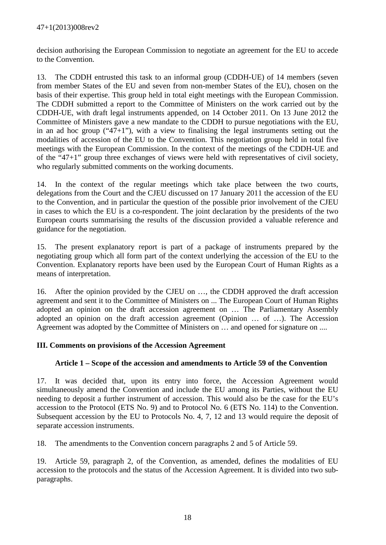decision authorising the European Commission to negotiate an agreement for the EU to accede to the Convention.

13. The CDDH entrusted this task to an informal group (CDDH-UE) of 14 members (seven from member States of the EU and seven from non-member States of the EU), chosen on the basis of their expertise. This group held in total eight meetings with the European Commission. The CDDH submitted a report to the Committee of Ministers on the work carried out by the CDDH-UE, with draft legal instruments appended, on 14 October 2011. On 13 June 2012 the Committee of Ministers gave a new mandate to the CDDH to pursue negotiations with the EU, in an ad hoc group (" $47+1$ "), with a view to finalising the legal instruments setting out the modalities of accession of the EU to the Convention. This negotiation group held in total five meetings with the European Commission. In the context of the meetings of the CDDH-UE and of the "47+1" group three exchanges of views were held with representatives of civil society, who regularly submitted comments on the working documents.

14. In the context of the regular meetings which take place between the two courts, delegations from the Court and the CJEU discussed on 17 January 2011 the accession of the EU to the Convention, and in particular the question of the possible prior involvement of the CJEU in cases to which the EU is a co-respondent. The joint declaration by the presidents of the two European courts summarising the results of the discussion provided a valuable reference and guidance for the negotiation.

15. The present explanatory report is part of a package of instruments prepared by the negotiating group which all form part of the context underlying the accession of the EU to the Convention. Explanatory reports have been used by the European Court of Human Rights as a means of interpretation.

16. After the opinion provided by the CJEU on …, the CDDH approved the draft accession agreement and sent it to the Committee of Ministers on ... The European Court of Human Rights adopted an opinion on the draft accession agreement on … The Parliamentary Assembly adopted an opinion on the draft accession agreement (Opinion … of …). The Accession Agreement was adopted by the Committee of Ministers on … and opened for signature on ....

# **III. Comments on provisions of the Accession Agreement**

# **Article 1 – Scope of the accession and amendments to Article 59 of the Convention**

17. It was decided that, upon its entry into force, the Accession Agreement would simultaneously amend the Convention and include the EU among its Parties, without the EU needing to deposit a further instrument of accession. This would also be the case for the EU's accession to the Protocol (ETS No. 9) and to Protocol No. 6 (ETS No. 114) to the Convention. Subsequent accession by the EU to Protocols No. 4, 7, 12 and 13 would require the deposit of separate accession instruments.

18. The amendments to the Convention concern paragraphs 2 and 5 of Article 59.

19. Article 59, paragraph 2, of the Convention, as amended, defines the modalities of EU accession to the protocols and the status of the Accession Agreement. It is divided into two subparagraphs.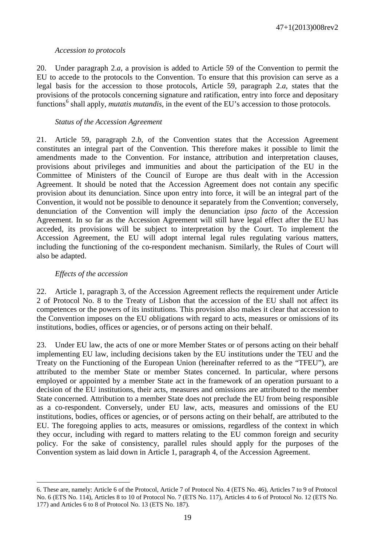47+1(2013)008rev2

#### *Accession to protocols*

20. Under paragraph 2.*a*, a provision is added to Article 59 of the Convention to permit the EU to accede to the protocols to the Convention. To ensure that this provision can serve as a legal basis for the accession to those protocols, Article 59, paragraph 2.*a*, states that the provisions of the protocols concerning signature and ratification, entry into force and depositary functions<sup>[6](#page-18-0)</sup> shall apply, *mutatis mutandis*, in the event of the EU's accession to those protocols.

#### *Status of the Accession Agreement*

21. Article 59, paragraph 2.*b*, of the Convention states that the Accession Agreement constitutes an integral part of the Convention. This therefore makes it possible to limit the amendments made to the Convention. For instance, attribution and interpretation clauses, provisions about privileges and immunities and about the participation of the EU in the Committee of Ministers of the Council of Europe are thus dealt with in the Accession Agreement. It should be noted that the Accession Agreement does not contain any specific provision about its denunciation. Since upon entry into force, it will be an integral part of the Convention, it would not be possible to denounce it separately from the Convention; conversely, denunciation of the Convention will imply the denunciation *ipso facto* of the Accession Agreement. In so far as the Accession Agreement will still have legal effect after the EU has acceded, its provisions will be subject to interpretation by the Court. To implement the Accession Agreement, the EU will adopt internal legal rules regulating various matters, including the functioning of the co-respondent mechanism. Similarly, the Rules of Court will also be adapted.

#### *Effects of the accession*

-

22. Article 1, paragraph 3, of the Accession Agreement reflects the requirement under Article 2 of Protocol No. 8 to the Treaty of Lisbon that the accession of the EU shall not affect its competences or the powers of its institutions. This provision also makes it clear that accession to the Convention imposes on the EU obligations with regard to acts, measures or omissions of its institutions, bodies, offices or agencies, or of persons acting on their behalf.

23. Under EU law, the acts of one or more Member States or of persons acting on their behalf implementing EU law, including decisions taken by the EU institutions under the TEU and the Treaty on the Functioning of the European Union (hereinafter referred to as the "TFEU"), are attributed to the member State or member States concerned. In particular, where persons employed or appointed by a member State act in the framework of an operation pursuant to a decision of the EU institutions, their acts, measures and omissions are attributed to the member State concerned. Attribution to a member State does not preclude the EU from being responsible as a co-respondent. Conversely, under EU law, acts, measures and omissions of the EU institutions, bodies, offices or agencies, or of persons acting on their behalf, are attributed to the EU. The foregoing applies to acts, measures or omissions, regardless of the context in which they occur, including with regard to matters relating to the EU common foreign and security policy. For the sake of consistency, parallel rules should apply for the purposes of the Convention system as laid down in Article 1, paragraph 4, of the Accession Agreement.

<span id="page-18-0"></span><sup>6.</sup> These are, namely: Article 6 of the Protocol, Article 7 of Protocol No. 4 (ETS No. 46), Articles 7 to 9 of Protocol No. 6 (ETS No. 114), Articles 8 to 10 of Protocol No. 7 (ETS No. 117), Articles 4 to 6 of Protocol No. 12 (ETS No. 177) and Articles 6 to 8 of Protocol No. 13 (ETS No. 187).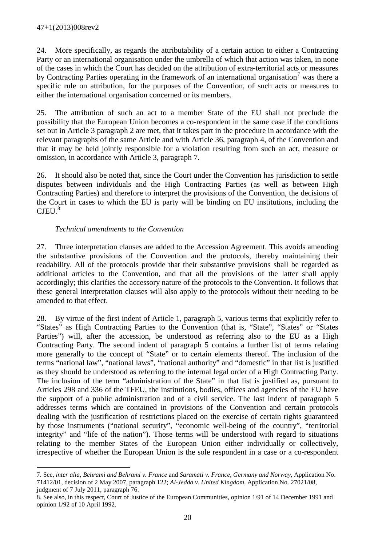<u>.</u>

24. More specifically, as regards the attributability of a certain action to either a Contracting Party or an international organisation under the umbrella of which that action was taken, in none of the cases in which the Court has decided on the attribution of extra-territorial acts or measures by Contracting Parties operating in the framework of an international organisation<sup>[7](#page-19-0)</sup> was there a specific rule on attribution, for the purposes of the Convention, of such acts or measures to either the international organisation concerned or its members.

25. The attribution of such an act to a member State of the EU shall not preclude the possibility that the European Union becomes a co-respondent in the same case if the conditions set out in Article 3 paragraph 2 are met, that it takes part in the procedure in accordance with the relevant paragraphs of the same Article and with Article 36, paragraph 4, of the Convention and that it may be held jointly responsible for a violation resulting from such an act, measure or omission, in accordance with Article 3, paragraph 7.

26. It should also be noted that, since the Court under the Convention has jurisdiction to settle disputes between individuals and the High Contracting Parties (as well as between High Contracting Parties) and therefore to interpret the provisions of the Convention, the decisions of the Court in cases to which the EU is party will be binding on EU institutions, including the  $CJEU.<sup>8</sup>$  $CJEU.<sup>8</sup>$  $CJEU.<sup>8</sup>$ 

# *Technical amendments to the Convention*

27. Three interpretation clauses are added to the Accession Agreement. This avoids amending the substantive provisions of the Convention and the protocols, thereby maintaining their readability. All of the protocols provide that their substantive provisions shall be regarded as additional articles to the Convention, and that all the provisions of the latter shall apply accordingly; this clarifies the accessory nature of the protocols to the Convention. It follows that these general interpretation clauses will also apply to the protocols without their needing to be amended to that effect.

28. By virtue of the first indent of Article 1, paragraph 5, various terms that explicitly refer to "States" as High Contracting Parties to the Convention (that is, "State", "States" or "States" Parties") will, after the accession, be understood as referring also to the EU as a High Contracting Party. The second indent of paragraph 5 contains a further list of terms relating more generally to the concept of "State" or to certain elements thereof. The inclusion of the terms "national law", "national laws", "national authority" and "domestic" in that list is justified as they should be understood as referring to the internal legal order of a High Contracting Party. The inclusion of the term "administration of the State" in that list is justified as, pursuant to Articles 298 and 336 of the TFEU, the institutions, bodies, offices and agencies of the EU have the support of a public administration and of a civil service. The last indent of paragraph 5 addresses terms which are contained in provisions of the Convention and certain protocols dealing with the justification of restrictions placed on the exercise of certain rights guaranteed by those instruments ("national security", "economic well-being of the country", "territorial integrity" and "life of the nation"). Those terms will be understood with regard to situations relating to the member States of the European Union either individually or collectively, irrespective of whether the European Union is the sole respondent in a case or a co-respondent

<span id="page-19-0"></span><sup>7.</sup> See, *inter alia*, *Behrami and Behrami v. France* and *Saramati v. France, Germany and Norway*, Application No. 71412/01, decision of 2 May 2007, paragraph 122; *Al-Jedda v. United Kingdom*, Application No. 27021/08, judgment of 7 July 2011, paragraph 76.

<span id="page-19-1"></span><sup>8.</sup> See also, in this respect, Court of Justice of the European Communities, opinion 1/91 of 14 December 1991 and opinion 1/92 of 10 April 1992.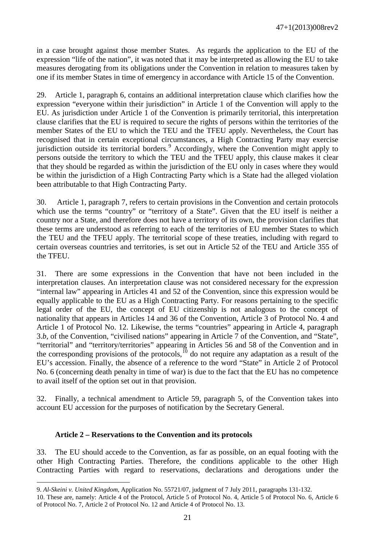in a case brought against those member States. As regards the application to the EU of the expression "life of the nation", it was noted that it may be interpreted as allowing the EU to take measures derogating from its obligations under the Convention in relation to measures taken by one if its member States in time of emergency in accordance with Article 15 of the Convention.

29. Article 1, paragraph 6, contains an additional interpretation clause which clarifies how the expression "everyone within their jurisdiction" in Article 1 of the Convention will apply to the EU. As jurisdiction under Article 1 of the Convention is primarily territorial, this interpretation clause clarifies that the EU is required to secure the rights of persons within the territories of the member States of the EU to which the TEU and the TFEU apply. Nevertheless, the Court has recognised that in certain exceptional circumstances, a High Contracting Party may exercise jurisdiction outside its territorial borders.<sup>[9](#page-20-0)</sup> Accordingly, where the Convention might apply to persons outside the territory to which the TEU and the TFEU apply, this clause makes it clear that they should be regarded as within the jurisdiction of the EU only in cases where they would be within the jurisdiction of a High Contracting Party which is a State had the alleged violation been attributable to that High Contracting Party.

30. Article 1, paragraph 7, refers to certain provisions in the Convention and certain protocols which use the terms "country" or "territory of a State". Given that the EU itself is neither a country nor a State, and therefore does not have a territory of its own, the provision clarifies that these terms are understood as referring to each of the territories of EU member States to which the TEU and the TFEU apply. The territorial scope of these treaties, including with regard to certain overseas countries and territories, is set out in Article 52 of the TEU and Article 355 of the TFEU.

31. There are some expressions in the Convention that have not been included in the interpretation clauses. An interpretation clause was not considered necessary for the expression "internal law" appearing in Articles 41 and 52 of the Convention, since this expression would be equally applicable to the EU as a High Contracting Party. For reasons pertaining to the specific legal order of the EU, the concept of EU citizenship is not analogous to the concept of nationality that appears in Articles 14 and 36 of the Convention, Article 3 of Protocol No. 4 and Article 1 of Protocol No. 12. Likewise, the terms "countries" appearing in Article 4, paragraph 3.*b*, of the Convention, "civilised nations" appearing in Article 7 of the Convention, and "State", "territorial" and "territory/territories" appearing in Articles 56 and 58 of the Convention and in the corresponding provisions of the protocols, $\frac{10}{10}$  $\frac{10}{10}$  $\frac{10}{10}$  do not require any adaptation as a result of the EU's accession. Finally, the absence of a reference to the word "State" in Article 2 of Protocol No. 6 (concerning death penalty in time of war) is due to the fact that the EU has no competence to avail itself of the option set out in that provision.

32. Finally, a technical amendment to Article 59, paragraph 5, of the Convention takes into account EU accession for the purposes of notification by the Secretary General.

# **Article 2 – Reservations to the Convention and its protocols**

33. The EU should accede to the Convention, as far as possible, on an equal footing with the other High Contracting Parties. Therefore, the conditions applicable to the other High Contracting Parties with regard to reservations, declarations and derogations under the

<sup>9.</sup> *Al-Skeini v. United Kingdom*, Application No. 55721/07, judgment of 7 July 2011, paragraphs 131-132. -

<span id="page-20-1"></span><span id="page-20-0"></span><sup>10.</sup> These are, namely: Article 4 of the Protocol, Article 5 of Protocol No. 4, Article 5 of Protocol No. 6, Article 6 of Protocol No. 7, Article 2 of Protocol No. 12 and Article 4 of Protocol No. 13.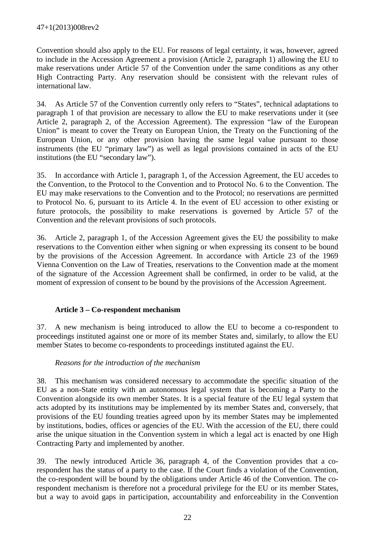Convention should also apply to the EU. For reasons of legal certainty, it was, however, agreed to include in the Accession Agreement a provision (Article 2, paragraph 1) allowing the EU to make reservations under Article 57 of the Convention under the same conditions as any other High Contracting Party. Any reservation should be consistent with the relevant rules of international law.

34. As Article 57 of the Convention currently only refers to "States", technical adaptations to paragraph 1 of that provision are necessary to allow the EU to make reservations under it (see Article 2, paragraph 2, of the Accession Agreement). The expression "law of the European Union" is meant to cover the Treaty on European Union, the Treaty on the Functioning of the European Union, or any other provision having the same legal value pursuant to those instruments (the EU "primary law") as well as legal provisions contained in acts of the EU institutions (the EU "secondary law").

35. In accordance with Article 1, paragraph 1, of the Accession Agreement, the EU accedes to the Convention, to the Protocol to the Convention and to Protocol No. 6 to the Convention. The EU may make reservations to the Convention and to the Protocol; no reservations are permitted to Protocol No. 6, pursuant to its Article 4. In the event of EU accession to other existing or future protocols, the possibility to make reservations is governed by Article 57 of the Convention and the relevant provisions of such protocols.

36. Article 2, paragraph 1, of the Accession Agreement gives the EU the possibility to make reservations to the Convention either when signing or when expressing its consent to be bound by the provisions of the Accession Agreement. In accordance with Article 23 of the 1969 Vienna Convention on the Law of Treaties, reservations to the Convention made at the moment of the signature of the Accession Agreement shall be confirmed, in order to be valid, at the moment of expression of consent to be bound by the provisions of the Accession Agreement.

# **Article 3 – Co-respondent mechanism**

37. A new mechanism is being introduced to allow the EU to become a co-respondent to proceedings instituted against one or more of its member States and, similarly, to allow the EU member States to become co-respondents to proceedings instituted against the EU.

# *Reasons for the introduction of the mechanism*

38. This mechanism was considered necessary to accommodate the specific situation of the EU as a non-State entity with an autonomous legal system that is becoming a Party to the Convention alongside its own member States. It is a special feature of the EU legal system that acts adopted by its institutions may be implemented by its member States and, conversely, that provisions of the EU founding treaties agreed upon by its member States may be implemented by institutions, bodies, offices or agencies of the EU. With the accession of the EU, there could arise the unique situation in the Convention system in which a legal act is enacted by one High Contracting Party and implemented by another.

39. The newly introduced Article 36, paragraph 4, of the Convention provides that a corespondent has the status of a party to the case. If the Court finds a violation of the Convention, the co-respondent will be bound by the obligations under Article 46 of the Convention. The corespondent mechanism is therefore not a procedural privilege for the EU or its member States, but a way to avoid gaps in participation, accountability and enforceability in the Convention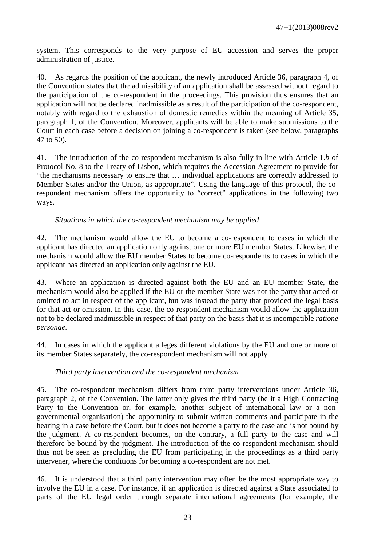system. This corresponds to the very purpose of EU accession and serves the proper administration of justice.

40. As regards the position of the applicant, the newly introduced Article 36, paragraph 4, of the Convention states that the admissibility of an application shall be assessed without regard to the participation of the co-respondent in the proceedings. This provision thus ensures that an application will not be declared inadmissible as a result of the participation of the co-respondent, notably with regard to the exhaustion of domestic remedies within the meaning of Article 35, paragraph 1, of the Convention. Moreover, applicants will be able to make submissions to the Court in each case before a decision on joining a co-respondent is taken (see below, paragraphs 47 to 50).

41. The introduction of the co-respondent mechanism is also fully in line with Article 1.*b* of Protocol No. 8 to the Treaty of Lisbon, which requires the Accession Agreement to provide for "the mechanisms necessary to ensure that … individual applications are correctly addressed to Member States and/or the Union, as appropriate". Using the language of this protocol, the corespondent mechanism offers the opportunity to "correct" applications in the following two ways.

# *Situations in which the co-respondent mechanism may be applied*

42. The mechanism would allow the EU to become a co-respondent to cases in which the applicant has directed an application only against one or more EU member States. Likewise, the mechanism would allow the EU member States to become co-respondents to cases in which the applicant has directed an application only against the EU.

43. Where an application is directed against both the EU and an EU member State, the mechanism would also be applied if the EU or the member State was not the party that acted or omitted to act in respect of the applicant, but was instead the party that provided the legal basis for that act or omission. In this case, the co-respondent mechanism would allow the application not to be declared inadmissible in respect of that party on the basis that it is incompatible *ratione personae*.

44. In cases in which the applicant alleges different violations by the EU and one or more of its member States separately, the co-respondent mechanism will not apply.

# *Third party intervention and the co-respondent mechanism*

45. The co-respondent mechanism differs from third party interventions under Article 36, paragraph 2, of the Convention. The latter only gives the third party (be it a High Contracting Party to the Convention or, for example, another subject of international law or a nongovernmental organisation) the opportunity to submit written comments and participate in the hearing in a case before the Court, but it does not become a party to the case and is not bound by the judgment. A co-respondent becomes, on the contrary, a full party to the case and will therefore be bound by the judgment. The introduction of the co-respondent mechanism should thus not be seen as precluding the EU from participating in the proceedings as a third party intervener, where the conditions for becoming a co-respondent are not met.

46. It is understood that a third party intervention may often be the most appropriate way to involve the EU in a case. For instance, if an application is directed against a State associated to parts of the EU legal order through separate international agreements (for example, the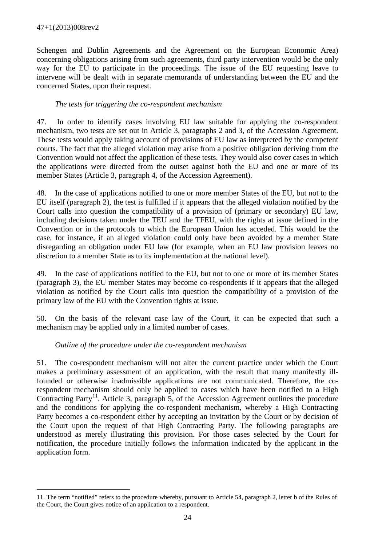<u>.</u>

Schengen and Dublin Agreements and the Agreement on the European Economic Area) concerning obligations arising from such agreements, third party intervention would be the only way for the EU to participate in the proceedings. The issue of the EU requesting leave to intervene will be dealt with in separate memoranda of understanding between the EU and the concerned States, upon their request.

# *The tests for triggering the co-respondent mechanism*

47. In order to identify cases involving EU law suitable for applying the co-respondent mechanism, two tests are set out in Article 3, paragraphs 2 and 3, of the Accession Agreement. These tests would apply taking account of provisions of EU law as interpreted by the competent courts. The fact that the alleged violation may arise from a positive obligation deriving from the Convention would not affect the application of these tests. They would also cover cases in which the applications were directed from the outset against both the EU and one or more of its member States (Article 3, paragraph 4, of the Accession Agreement).

48. In the case of applications notified to one or more member States of the EU, but not to the EU itself (paragraph 2), the test is fulfilled if it appears that the alleged violation notified by the Court calls into question the compatibility of a provision of (primary or secondary) EU law, including decisions taken under the TEU and the TFEU, with the rights at issue defined in the Convention or in the protocols to which the European Union has acceded. This would be the case, for instance, if an alleged violation could only have been avoided by a member State disregarding an obligation under EU law (for example, when an EU law provision leaves no discretion to a member State as to its implementation at the national level).

49. In the case of applications notified to the EU, but not to one or more of its member States (paragraph 3), the EU member States may become co-respondents if it appears that the alleged violation as notified by the Court calls into question the compatibility of a provision of the primary law of the EU with the Convention rights at issue.

50. On the basis of the relevant case law of the Court, it can be expected that such a mechanism may be applied only in a limited number of cases.

# *Outline of the procedure under the co-respondent mechanism*

51. The co-respondent mechanism will not alter the current practice under which the Court makes a preliminary assessment of an application, with the result that many manifestly illfounded or otherwise inadmissible applications are not communicated. Therefore, the corespondent mechanism should only be applied to cases which have been notified to a High Contracting Party<sup>11</sup>. Article 3, paragraph 5, of the Accession Agreement outlines the procedure and the conditions for applying the co-respondent mechanism, whereby a High Contracting Party becomes a co-respondent either by accepting an invitation by the Court or by decision of the Court upon the request of that High Contracting Party. The following paragraphs are understood as merely illustrating this provision. For those cases selected by the Court for notification, the procedure initially follows the information indicated by the applicant in the application form.

<span id="page-23-0"></span><sup>11.</sup> The term "notified" refers to the procedure whereby, pursuant to Article 54, paragraph 2, letter b of the Rules of the Court, the Court gives notice of an application to a respondent.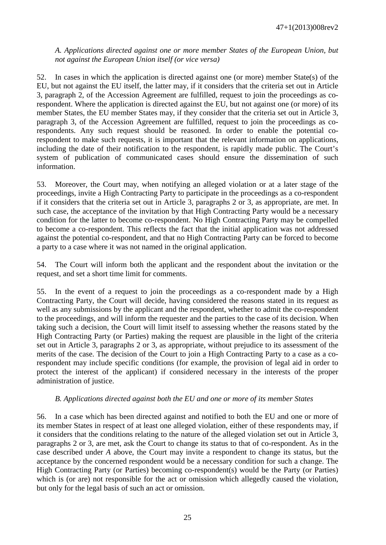*A. Applications directed against one or more member States of the European Union, but not against the European Union itself (or vice versa)*

52. In cases in which the application is directed against one (or more) member State(s) of the EU, but not against the EU itself, the latter may, if it considers that the criteria set out in Article 3, paragraph 2, of the Accession Agreement are fulfilled, request to join the proceedings as corespondent. Where the application is directed against the EU, but not against one (or more) of its member States, the EU member States may, if they consider that the criteria set out in Article 3, paragraph 3, of the Accession Agreement are fulfilled, request to join the proceedings as corespondents. Any such request should be reasoned. In order to enable the potential corespondent to make such requests, it is important that the relevant information on applications, including the date of their notification to the respondent, is rapidly made public. The Court's system of publication of communicated cases should ensure the dissemination of such information.

53. Moreover, the Court may, when notifying an alleged violation or at a later stage of the proceedings, invite a High Contracting Party to participate in the proceedings as a co-respondent if it considers that the criteria set out in Article 3, paragraphs 2 or 3, as appropriate, are met. In such case, the acceptance of the invitation by that High Contracting Party would be a necessary condition for the latter to become co-respondent. No High Contracting Party may be compelled to become a co-respondent. This reflects the fact that the initial application was not addressed against the potential co-respondent, and that no High Contracting Party can be forced to become a party to a case where it was not named in the original application.

54. The Court will inform both the applicant and the respondent about the invitation or the request, and set a short time limit for comments.

55. In the event of a request to join the proceedings as a co-respondent made by a High Contracting Party, the Court will decide, having considered the reasons stated in its request as well as any submissions by the applicant and the respondent, whether to admit the co-respondent to the proceedings, and will inform the requester and the parties to the case of its decision. When taking such a decision, the Court will limit itself to assessing whether the reasons stated by the High Contracting Party (or Parties) making the request are plausible in the light of the criteria set out in Article 3, paragraphs 2 or 3, as appropriate, without prejudice to its assessment of the merits of the case. The decision of the Court to join a High Contracting Party to a case as a corespondent may include specific conditions (for example, the provision of legal aid in order to protect the interest of the applicant) if considered necessary in the interests of the proper administration of justice.

#### *B. Applications directed against both the EU and one or more of its member States*

56. In a case which has been directed against and notified to both the EU and one or more of its member States in respect of at least one alleged violation, either of these respondents may, if it considers that the conditions relating to the nature of the alleged violation set out in Article 3, paragraphs 2 or 3, are met, ask the Court to change its status to that of co-respondent. As in the case described under *A* above, the Court may invite a respondent to change its status, but the acceptance by the concerned respondent would be a necessary condition for such a change. The High Contracting Party (or Parties) becoming co-respondent(s) would be the Party (or Parties) which is (or are) not responsible for the act or omission which allegedly caused the violation, but only for the legal basis of such an act or omission.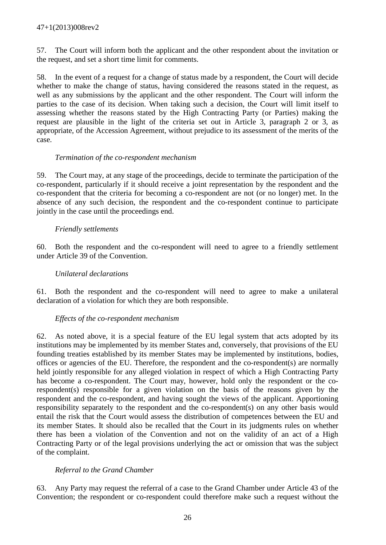57. The Court will inform both the applicant and the other respondent about the invitation or the request, and set a short time limit for comments.

58. In the event of a request for a change of status made by a respondent, the Court will decide whether to make the change of status, having considered the reasons stated in the request, as well as any submissions by the applicant and the other respondent. The Court will inform the parties to the case of its decision. When taking such a decision, the Court will limit itself to assessing whether the reasons stated by the High Contracting Party (or Parties) making the request are plausible in the light of the criteria set out in Article 3, paragraph 2 or 3, as appropriate, of the Accession Agreement, without prejudice to its assessment of the merits of the case.

#### *Termination of the co-respondent mechanism*

59. The Court may, at any stage of the proceedings, decide to terminate the participation of the co-respondent, particularly if it should receive a joint representation by the respondent and the co-respondent that the criteria for becoming a co-respondent are not (or no longer) met. In the absence of any such decision, the respondent and the co-respondent continue to participate jointly in the case until the proceedings end.

#### *Friendly settlements*

60. Both the respondent and the co-respondent will need to agree to a friendly settlement under Article 39 of the Convention.

# *Unilateral declarations*

61. Both the respondent and the co-respondent will need to agree to make a unilateral declaration of a violation for which they are both responsible.

# *Effects of the co-respondent mechanism*

62. As noted above, it is a special feature of the EU legal system that acts adopted by its institutions may be implemented by its member States and, conversely, that provisions of the EU founding treaties established by its member States may be implemented by institutions, bodies, offices or agencies of the EU. Therefore, the respondent and the co-respondent(s) are normally held jointly responsible for any alleged violation in respect of which a High Contracting Party has become a co-respondent. The Court may, however, hold only the respondent or the corespondent(s) responsible for a given violation on the basis of the reasons given by the respondent and the co-respondent, and having sought the views of the applicant. Apportioning responsibility separately to the respondent and the co-respondent(s) on any other basis would entail the risk that the Court would assess the distribution of competences between the EU and its member States. It should also be recalled that the Court in its judgments rules on whether there has been a violation of the Convention and not on the validity of an act of a High Contracting Party or of the legal provisions underlying the act or omission that was the subject of the complaint.

# *Referral to the Grand Chamber*

63. Any Party may request the referral of a case to the Grand Chamber under Article 43 of the Convention; the respondent or co-respondent could therefore make such a request without the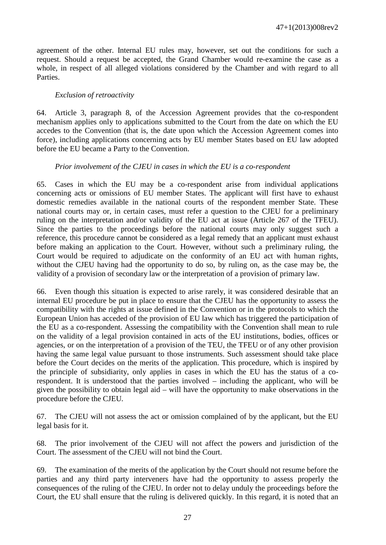agreement of the other. Internal EU rules may, however, set out the conditions for such a request. Should a request be accepted, the Grand Chamber would re-examine the case as a whole, in respect of all alleged violations considered by the Chamber and with regard to all Parties.

# *Exclusion of retroactivity*

64. Article 3, paragraph 8, of the Accession Agreement provides that the co-respondent mechanism applies only to applications submitted to the Court from the date on which the EU accedes to the Convention (that is, the date upon which the Accession Agreement comes into force), including applications concerning acts by EU member States based on EU law adopted before the EU became a Party to the Convention.

# *Prior involvement of the CJEU in cases in which the EU is a co-respondent*

65. Cases in which the EU may be a co-respondent arise from individual applications concerning acts or omissions of EU member States. The applicant will first have to exhaust domestic remedies available in the national courts of the respondent member State. These national courts may or, in certain cases, must refer a question to the CJEU for a preliminary ruling on the interpretation and/or validity of the EU act at issue (Article 267 of the TFEU). Since the parties to the proceedings before the national courts may only suggest such a reference, this procedure cannot be considered as a legal remedy that an applicant must exhaust before making an application to the Court. However, without such a preliminary ruling, the Court would be required to adjudicate on the conformity of an EU act with human rights, without the CJEU having had the opportunity to do so, by ruling on, as the case may be, the validity of a provision of secondary law or the interpretation of a provision of primary law.

66. Even though this situation is expected to arise rarely, it was considered desirable that an internal EU procedure be put in place to ensure that the CJEU has the opportunity to assess the compatibility with the rights at issue defined in the Convention or in the protocols to which the European Union has acceded of the provision of EU law which has triggered the participation of the EU as a co-respondent. Assessing the compatibility with the Convention shall mean to rule on the validity of a legal provision contained in acts of the EU institutions, bodies, offices or agencies, or on the interpretation of a provision of the TEU, the TFEU or of any other provision having the same legal value pursuant to those instruments. Such assessment should take place before the Court decides on the merits of the application. This procedure, which is inspired by the principle of subsidiarity, only applies in cases in which the EU has the status of a corespondent. It is understood that the parties involved – including the applicant, who will be given the possibility to obtain legal aid – will have the opportunity to make observations in the procedure before the CJEU*.*

67. The CJEU will not assess the act or omission complained of by the applicant, but the EU legal basis for it.

68. The prior involvement of the CJEU will not affect the powers and jurisdiction of the Court. The assessment of the CJEU will not bind the Court.

69. The examination of the merits of the application by the Court should not resume before the parties and any third party interveners have had the opportunity to assess properly the consequences of the ruling of the CJEU. In order not to delay unduly the proceedings before the Court, the EU shall ensure that the ruling is delivered quickly. In this regard, it is noted that an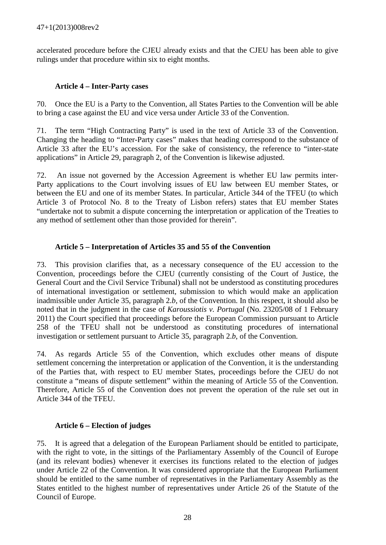accelerated procedure before the CJEU already exists and that the CJEU has been able to give rulings under that procedure within six to eight months.

#### **Article 4 – Inter-Party cases**

70. Once the EU is a Party to the Convention, all States Parties to the Convention will be able to bring a case against the EU and vice versa under Article 33 of the Convention.

71. The term "High Contracting Party" is used in the text of Article 33 of the Convention. Changing the heading to "Inter-Party cases" makes that heading correspond to the substance of Article 33 after the EU's accession. For the sake of consistency, the reference to "inter-state applications" in Article 29, paragraph 2, of the Convention is likewise adjusted.

72. An issue not governed by the Accession Agreement is whether EU law permits inter-Party applications to the Court involving issues of EU law between EU member States, or between the EU and one of its member States. In particular, Article 344 of the TFEU (to which Article 3 of Protocol No. 8 to the Treaty of Lisbon refers) states that EU member States "undertake not to submit a dispute concerning the interpretation or application of the Treaties to any method of settlement other than those provided for therein".

# **Article 5 – Interpretation of Articles 35 and 55 of the Convention**

73. This provision clarifies that, as a necessary consequence of the EU accession to the Convention, proceedings before the CJEU (currently consisting of the Court of Justice, the General Court and the Civil Service Tribunal) shall not be understood as constituting procedures of international investigation or settlement, submission to which would make an application inadmissible under Article 35, paragraph 2.*b*, of the Convention. In this respect, it should also be noted that in the judgment in the case of *Karoussiotis v. Portugal* (No. 23205/08 of 1 February 2011) the Court specified that proceedings before the European Commission pursuant to Article 258 of the TFEU shall not be understood as constituting procedures of international investigation or settlement pursuant to Article 35, paragraph 2.*b*, of the Convention.

74. As regards Article 55 of the Convention, which excludes other means of dispute settlement concerning the interpretation or application of the Convention, it is the understanding of the Parties that, with respect to EU member States, proceedings before the CJEU do not constitute a "means of dispute settlement" within the meaning of Article 55 of the Convention. Therefore, Article 55 of the Convention does not prevent the operation of the rule set out in Article 344 of the TFEU.

# **Article 6 – Election of judges**

75. It is agreed that a delegation of the European Parliament should be entitled to participate, with the right to vote, in the sittings of the Parliamentary Assembly of the Council of Europe (and its relevant bodies) whenever it exercises its functions related to the election of judges under Article 22 of the Convention. It was considered appropriate that the European Parliament should be entitled to the same number of representatives in the Parliamentary Assembly as the States entitled to the highest number of representatives under Article 26 of the Statute of the Council of Europe.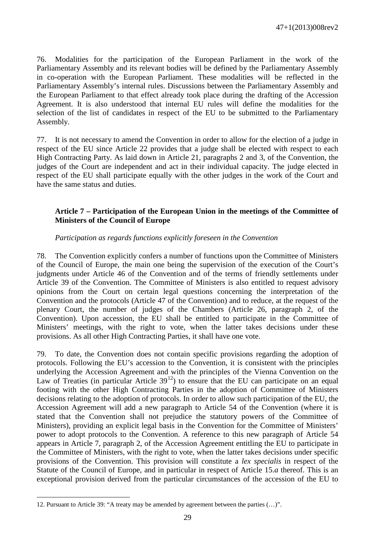47+1(2013)008rev2

76. Modalities for the participation of the European Parliament in the work of the Parliamentary Assembly and its relevant bodies will be defined by the Parliamentary Assembly in co-operation with the European Parliament. These modalities will be reflected in the Parliamentary Assembly's internal rules. Discussions between the Parliamentary Assembly and the European Parliament to that effect already took place during the drafting of the Accession Agreement. It is also understood that internal EU rules will define the modalities for the selection of the list of candidates in respect of the EU to be submitted to the Parliamentary Assembly.

77. It is not necessary to amend the Convention in order to allow for the election of a judge in respect of the EU since Article 22 provides that a judge shall be elected with respect to each High Contracting Party. As laid down in Article 21, paragraphs 2 and 3, of the Convention, the judges of the Court are independent and act in their individual capacity. The judge elected in respect of the EU shall participate equally with the other judges in the work of the Court and have the same status and duties.

#### **Article 7 – Participation of the European Union in the meetings of the Committee of Ministers of the Council of Europe**

#### *Participation as regards functions explicitly foreseen in the Convention*

78. The Convention explicitly confers a number of functions upon the Committee of Ministers of the Council of Europe, the main one being the supervision of the execution of the Court's judgments under Article 46 of the Convention and of the terms of friendly settlements under Article 39 of the Convention. The Committee of Ministers is also entitled to request advisory opinions from the Court on certain legal questions concerning the interpretation of the Convention and the protocols (Article 47 of the Convention) and to reduce, at the request of the plenary Court, the number of judges of the Chambers (Article 26, paragraph 2, of the Convention). Upon accession, the EU shall be entitled to participate in the Committee of Ministers' meetings, with the right to vote, when the latter takes decisions under these provisions. As all other High Contracting Parties, it shall have one vote.

79. To date, the Convention does not contain specific provisions regarding the adoption of protocols. Following the EU's accession to the Convention, it is consistent with the principles underlying the Accession Agreement and with the principles of the Vienna Convention on the Law of Treaties (in particular Article  $39^{12}$  $39^{12}$  $39^{12}$ ) to ensure that the EU can participate on an equal footing with the other High Contracting Parties in the adoption of Committee of Ministers decisions relating to the adoption of protocols. In order to allow such participation of the EU, the Accession Agreement will add a new paragraph to Article 54 of the Convention (where it is stated that the Convention shall not prejudice the statutory powers of the Committee of Ministers), providing an explicit legal basis in the Convention for the Committee of Ministers' power to adopt protocols to the Convention. A reference to this new paragraph of Article 54 appears in Article 7, paragraph 2, of the Accession Agreement entitling the EU to participate in the Committee of Ministers, with the right to vote, when the latter takes decisions under specific provisions of the Convention. This provision will constitute a *lex specialis* in respect of the Statute of the Council of Europe, and in particular in respect of Article 15.*a* thereof. This is an exceptional provision derived from the particular circumstances of the accession of the EU to

<u>.</u>

<span id="page-28-0"></span><sup>12.</sup> Pursuant to Article 39: "A treaty may be amended by agreement between the parties (…)".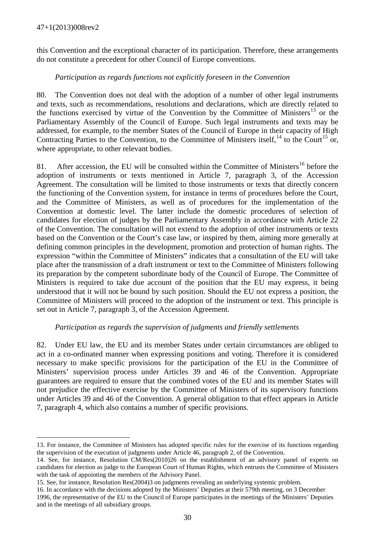-

this Convention and the exceptional character of its participation. Therefore, these arrangements do not constitute a precedent for other Council of Europe conventions.

#### *Participation as regards functions not explicitly foreseen in the Convention*

80. The Convention does not deal with the adoption of a number of other legal instruments and texts, such as recommendations, resolutions and declarations, which are directly related to the functions exercised by virtue of the Convention by the Committee of Ministers<sup>[13](#page-29-0)</sup> or the Parliamentary Assembly of the Council of Europe. Such legal instruments and texts may be addressed, for example, to the member States of the Council of Europe in their capacity of High Contracting Parties to the Convention, to the Committee of Ministers itself,  $^{14}$  $^{14}$  $^{14}$  to the Court<sup>[15](#page-29-2)</sup> or, where appropriate, to other relevant bodies.

81. After accession, the EU will be consulted within the Committee of Ministers<sup>[16](#page-29-3)</sup> before the adoption of instruments or texts mentioned in Article 7, paragraph 3, of the Accession Agreement. The consultation will be limited to those instruments or texts that directly concern the functioning of the Convention system, for instance in terms of procedures before the Court, and the Committee of Ministers, as well as of procedures for the implementation of the Convention at domestic level. The latter include the domestic procedures of selection of candidates for election of judges by the Parliamentary Assembly in accordance with Article 22 of the Convention. The consultation will not extend to the adoption of other instruments or texts based on the Convention or the Court's case law, or inspired by them, aiming more generally at defining common principles in the development, promotion and protection of human rights. The expression "within the Committee of Ministers" indicates that a consultation of the EU will take place after the transmission of a draft instrument or text to the Committee of Ministers following its preparation by the competent subordinate body of the Council of Europe. The Committee of Ministers is required to take due account of the position that the EU may express, it being understood that it will not be bound by such position. Should the EU not express a position, the Committee of Ministers will proceed to the adoption of the instrument or text. This principle is set out in Article 7, paragraph 3, of the Accession Agreement.

# *Participation as regards the supervision of judgments and friendly settlements*

82. Under EU law, the EU and its member States under certain circumstances are obliged to act in a co-ordinated manner when expressing positions and voting. Therefore it is considered necessary to make specific provisions for the participation of the EU in the Committee of Ministers' supervision process under Articles 39 and 46 of the Convention. Appropriate guarantees are required to ensure that the combined votes of the EU and its member States will not prejudice the effective exercise by the Committee of Ministers of its supervisory functions under Articles 39 and 46 of the Convention. A general obligation to that effect appears in Article 7, paragraph 4, which also contains a number of specific provisions.

<span id="page-29-0"></span><sup>13.</sup> For instance, the Committee of Ministers has adopted specific rules for the exercise of its functions regarding the supervision of the execution of judgments under Article 46, paragraph 2, of the Convention.

<span id="page-29-1"></span><sup>14.</sup> See, for instance, Resolution CM/Res(2010)26 on the establishment of an advisory panel of experts on candidates for election as judge to the European Court of Human Rights, which entrusts the Committee of Ministers with the task of appointing the members of the Advisory Panel.

<span id="page-29-2"></span><sup>15.</sup> See, for instance, Resolution Res(2004)3 on judgments revealing an underlying systemic problem.

<span id="page-29-3"></span><sup>16.</sup> In accordance with the decisions adopted by the Ministers' Deputies at their 579th meeting, on 3 December 1996, the representative of the EU to the Council of Europe participates in the meetings of the Ministers' Deputies and in the meetings of all subsidiary groups.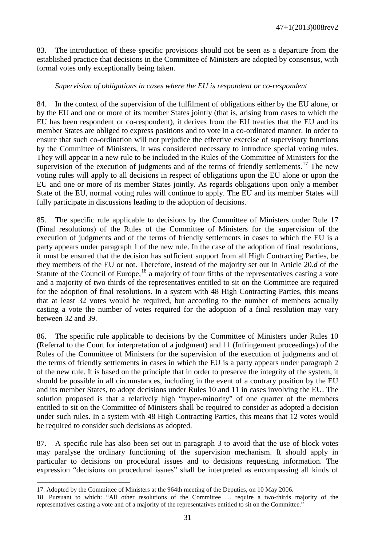83. The introduction of these specific provisions should not be seen as a departure from the established practice that decisions in the Committee of Ministers are adopted by consensus, with formal votes only exceptionally being taken.

#### *Supervision of obligations in cases where the EU is respondent or co-respondent*

84. In the context of the supervision of the fulfilment of obligations either by the EU alone, or by the EU and one or more of its member States jointly (that is, arising from cases to which the EU has been respondent or co-respondent), it derives from the EU treaties that the EU and its member States are obliged to express positions and to vote in a co-ordinated manner. In order to ensure that such co-ordination will not prejudice the effective exercise of supervisory functions by the Committee of Ministers, it was considered necessary to introduce special voting rules. They will appear in a new rule to be included in the Rules of the Committee of Ministers for the supervision of the execution of judgments and of the terms of friendly settlements.<sup>[17](#page-30-0)</sup> The new voting rules will apply to all decisions in respect of obligations upon the EU alone or upon the EU and one or more of its member States jointly. As regards obligations upon only a member State of the EU, normal voting rules will continue to apply. The EU and its member States will fully participate in discussions leading to the adoption of decisions.

85. The specific rule applicable to decisions by the Committee of Ministers under Rule 17 (Final resolutions) of the Rules of the Committee of Ministers for the supervision of the execution of judgments and of the terms of friendly settlements in cases to which the EU is a party appears under paragraph 1 of the new rule. In the case of the adoption of final resolutions, it must be ensured that the decision has sufficient support from all High Contracting Parties, be they members of the EU or not. Therefore, instead of the majority set out in Article 20.*d* of the Statute of the Council of Europe, <sup>[18](#page-30-1)</sup> a majority of four fifths of the representatives casting a vote and a majority of two thirds of the representatives entitled to sit on the Committee are required for the adoption of final resolutions. In a system with 48 High Contracting Parties, this means that at least 32 votes would be required, but according to the number of members actually casting a vote the number of votes required for the adoption of a final resolution may vary between 32 and 39.

86. The specific rule applicable to decisions by the Committee of Ministers under Rules 10 (Referral to the Court for interpretation of a judgment) and 11 (Infringement proceedings) of the Rules of the Committee of Ministers for the supervision of the execution of judgments and of the terms of friendly settlements in cases in which the EU is a party appears under paragraph 2 of the new rule. It is based on the principle that in order to preserve the integrity of the system, it should be possible in all circumstances, including in the event of a contrary position by the EU and its member States, to adopt decisions under Rules 10 and 11 in cases involving the EU. The solution proposed is that a relatively high "hyper-minority" of one quarter of the members entitled to sit on the Committee of Ministers shall be required to consider as adopted a decision under such rules. In a system with 48 High Contracting Parties, this means that 12 votes would be required to consider such decisions as adopted.

87. A specific rule has also been set out in paragraph 3 to avoid that the use of block votes may paralyse the ordinary functioning of the supervision mechanism. It should apply in particular to decisions on procedural issues and to decisions requesting information. The expression "decisions on procedural issues" shall be interpreted as encompassing all kinds of

<sup>17.</sup> Adopted by the Committee of Ministers at the 964th meeting of the Deputies, on 10 May 2006. -

<span id="page-30-1"></span><span id="page-30-0"></span><sup>18.</sup> Pursuant to which: "All other resolutions of the Committee … require a two-thirds majority of the representatives casting a vote and of a majority of the representatives entitled to sit on the Committee."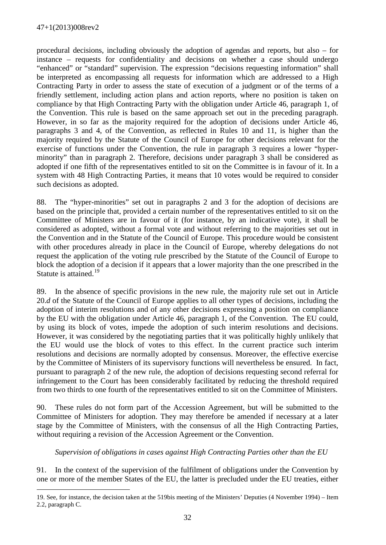<u>.</u>

procedural decisions, including obviously the adoption of agendas and reports, but also – for instance – requests for confidentiality and decisions on whether a case should undergo "enhanced" or "standard" supervision. The expression "decisions requesting information" shall be interpreted as encompassing all requests for information which are addressed to a High Contracting Party in order to assess the state of execution of a judgment or of the terms of a friendly settlement, including action plans and action reports, where no position is taken on compliance by that High Contracting Party with the obligation under Article 46, paragraph 1, of the Convention. This rule is based on the same approach set out in the preceding paragraph. However, in so far as the majority required for the adoption of decisions under Article 46, paragraphs 3 and 4, of the Convention, as reflected in Rules 10 and 11, is higher than the majority required by the Statute of the Council of Europe for other decisions relevant for the exercise of functions under the Convention, the rule in paragraph 3 requires a lower "hyperminority" than in paragraph 2. Therefore, decisions under paragraph 3 shall be considered as adopted if one fifth of the representatives entitled to sit on the Committee is in favour of it. In a system with 48 High Contracting Parties, it means that 10 votes would be required to consider such decisions as adopted.

88. The "hyper-minorities" set out in paragraphs 2 and 3 for the adoption of decisions are based on the principle that, provided a certain number of the representatives entitled to sit on the Committee of Ministers are in favour of it (for instance, by an indicative vote), it shall be considered as adopted, without a formal vote and without referring to the majorities set out in the Convention and in the Statute of the Council of Europe. This procedure would be consistent with other procedures already in place in the Council of Europe, whereby delegations do not request the application of the voting rule prescribed by the Statute of the Council of Europe to block the adoption of a decision if it appears that a lower majority than the one prescribed in the Statute is attained.<sup>[19](#page-31-0)</sup>

89. In the absence of specific provisions in the new rule, the majority rule set out in Article 20.*d* of the Statute of the Council of Europe applies to all other types of decisions, including the adoption of interim resolutions and of any other decisions expressing a position on compliance by the EU with the obligation under Article 46, paragraph 1, of the Convention. The EU could, by using its block of votes, impede the adoption of such interim resolutions and decisions. However, it was considered by the negotiating parties that it was politically highly unlikely that the EU would use the block of votes to this effect. In the current practice such interim resolutions and decisions are normally adopted by consensus. Moreover, the effective exercise by the Committee of Ministers of its supervisory functions will nevertheless be ensured. In fact, pursuant to paragraph 2 of the new rule, the adoption of decisions requesting second referral for infringement to the Court has been considerably facilitated by reducing the threshold required from two thirds to one fourth of the representatives entitled to sit on the Committee of Ministers.

90. These rules do not form part of the Accession Agreement, but will be submitted to the Committee of Ministers for adoption. They may therefore be amended if necessary at a later stage by the Committee of Ministers, with the consensus of all the High Contracting Parties, without requiring a revision of the Accession Agreement or the Convention.

*Supervision of obligations in cases against High Contracting Parties other than the EU*

91. In the context of the supervision of the fulfilment of obligations under the Convention by one or more of the member States of the EU, the latter is precluded under the EU treaties, either

<span id="page-31-0"></span><sup>19.</sup> See, for instance, the decision taken at the 519bis meeting of the Ministers' Deputies (4 November 1994) – Item 2.2, paragraph C.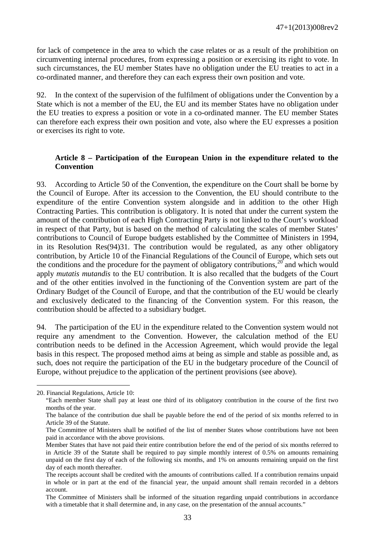for lack of competence in the area to which the case relates or as a result of the prohibition on circumventing internal procedures, from expressing a position or exercising its right to vote. In such circumstances, the EU member States have no obligation under the EU treaties to act in a co-ordinated manner, and therefore they can each express their own position and vote.

92. In the context of the supervision of the fulfilment of obligations under the Convention by a State which is not a member of the EU, the EU and its member States have no obligation under the EU treaties to express a position or vote in a co-ordinated manner. The EU member States can therefore each express their own position and vote, also where the EU expresses a position or exercises its right to vote.

# **Article 8 – Participation of the European Union in the expenditure related to the Convention**

93. According to Article 50 of the Convention, the expenditure on the Court shall be borne by the Council of Europe. After its accession to the Convention, the EU should contribute to the expenditure of the entire Convention system alongside and in addition to the other High Contracting Parties. This contribution is obligatory. It is noted that under the current system the amount of the contribution of each High Contracting Party is not linked to the Court's workload in respect of that Party, but is based on the method of calculating the scales of member States' contributions to Council of Europe budgets established by the Committee of Ministers in 1994, in its Resolution Res(94)31. The contribution would be regulated, as any other obligatory contribution, by Article 10 of the Financial Regulations of the Council of Europe, which sets out the conditions and the procedure for the payment of obligatory contributions,  $20^{\circ}$  $20^{\circ}$  and which would apply *mutatis mutandis* to the EU contribution. It is also recalled that the budgets of the Court and of the other entities involved in the functioning of the Convention system are part of the Ordinary Budget of the Council of Europe, and that the contribution of the EU would be clearly and exclusively dedicated to the financing of the Convention system. For this reason, the contribution should be affected to a subsidiary budget.

94. The participation of the EU in the expenditure related to the Convention system would not require any amendment to the Convention. However, the calculation method of the EU contribution needs to be defined in the Accession Agreement, which would provide the legal basis in this respect. The proposed method aims at being as simple and stable as possible and, as such, does not require the participation of the EU in the budgetary procedure of the Council of Europe, without prejudice to the application of the pertinent provisions (see above).

<span id="page-32-0"></span><sup>20.</sup> Financial Regulations, Article 10: -

<sup>&</sup>quot;Each member State shall pay at least one third of its obligatory contribution in the course of the first two months of the year.

The balance of the contribution due shall be payable before the end of the period of six months referred to in Article 39 of the Statute.

The Committee of Ministers shall be notified of the list of member States whose contributions have not been paid in accordance with the above provisions.

Member States that have not paid their entire contribution before the end of the period of six months referred to in Article 39 of the Statute shall be required to pay simple monthly interest of 0.5% on amounts remaining unpaid on the first day of each of the following six months, and 1% on amounts remaining unpaid on the first day of each month thereafter.

The receipts account shall be credited with the amounts of contributions called. If a contribution remains unpaid in whole or in part at the end of the financial year, the unpaid amount shall remain recorded in a debtors account.

The Committee of Ministers shall be informed of the situation regarding unpaid contributions in accordance with a timetable that it shall determine and, in any case, on the presentation of the annual accounts."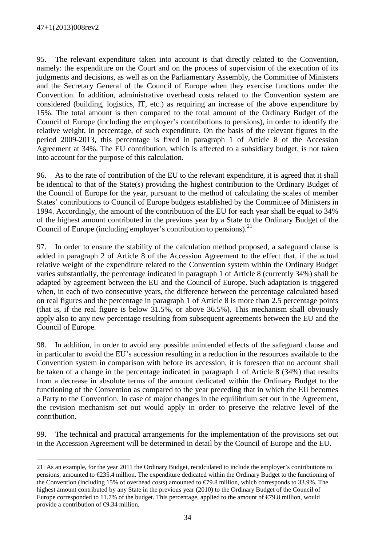95. The relevant expenditure taken into account is that directly related to the Convention, namely: the expenditure on the Court and on the process of supervision of the execution of its judgments and decisions, as well as on the Parliamentary Assembly, the Committee of Ministers and the Secretary General of the Council of Europe when they exercise functions under the Convention. In addition, administrative overhead costs related to the Convention system are considered (building, logistics, IT, etc.) as requiring an increase of the above expenditure by 15%. The total amount is then compared to the total amount of the Ordinary Budget of the Council of Europe (including the employer's contributions to pensions), in order to identify the relative weight, in percentage, of such expenditure. On the basis of the relevant figures in the period 2009-2013, this percentage is fixed in paragraph 1 of Article 8 of the Accession Agreement at 34%. The EU contribution, which is affected to a subsidiary budget, is not taken into account for the purpose of this calculation.

96. As to the rate of contribution of the EU to the relevant expenditure, it is agreed that it shall be identical to that of the State(s) providing the highest contribution to the Ordinary Budget of the Council of Europe for the year, pursuant to the method of calculating the scales of member States' contributions to Council of Europe budgets established by the Committee of Ministers in 1994. Accordingly, the amount of the contribution of the EU for each year shall be equal to 34% of the highest amount contributed in the previous year by a State to the Ordinary Budget of the Council of Europe (including employer's contribution to pensions).<sup>[21](#page-33-0)</sup>

97. In order to ensure the stability of the calculation method proposed, a safeguard clause is added in paragraph 2 of Article 8 of the Accession Agreement to the effect that, if the actual relative weight of the expenditure related to the Convention system within the Ordinary Budget varies substantially, the percentage indicated in paragraph 1 of Article 8 (currently 34%) shall be adapted by agreement between the EU and the Council of Europe. Such adaptation is triggered when, in each of two consecutive years, the difference between the percentage calculated based on real figures and the percentage in paragraph 1 of Article 8 is more than 2.5 percentage points (that is, if the real figure is below 31.5%, or above 36.5%). This mechanism shall obviously apply also to any new percentage resulting from subsequent agreements between the EU and the Council of Europe.

98. In addition, in order to avoid any possible unintended effects of the safeguard clause and in particular to avoid the EU's accession resulting in a reduction in the resources available to the Convention system in comparison with before its accession, it is foreseen that no account shall be taken of a change in the percentage indicated in paragraph 1 of Article 8 (34%) that results from a decrease in absolute terms of the amount dedicated within the Ordinary Budget to the functioning of the Convention as compared to the year preceding that in which the EU becomes a Party to the Convention. In case of major changes in the equilibrium set out in the Agreement, the revision mechanism set out would apply in order to preserve the relative level of the contribution.

99. The technical and practical arrangements for the implementation of the provisions set out in the Accession Agreement will be determined in detail by the Council of Europe and the EU.

<span id="page-33-0"></span><sup>21.</sup> As an example, for the year 2011 the Ordinary Budget, recalculated to include the employer's contributions to pensions, amounted to €235.4 million. The expenditure dedicated within the Ordinary Budget to the functioning of the Convention (including 15% of overhead costs) amounted to €79.8 million, which corresponds to 33.9%. The highest amount contributed by any State in the previous year (2010) to the Ordinary Budget of the Council of Europe corresponded to 11.7% of the budget. This percentage, applied to the amount of €79.8 million, would provide a contribution of  $\Theta$ .34 million. -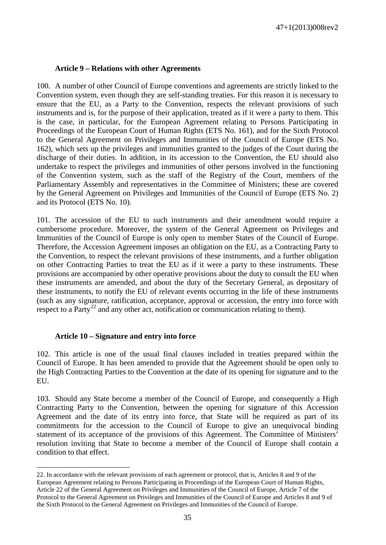#### **Article 9 – Relations with other Agreements**

100. A number of other Council of Europe conventions and agreements are strictly linked to the Convention system, even though they are self-standing treaties. For this reason it is necessary to ensure that the EU, as a Party to the Convention, respects the relevant provisions of such instruments and is, for the purpose of their application, treated as if it were a party to them. This is the case, in particular, for the European Agreement relating to Persons Participating in Proceedings of the European Court of Human Rights (ETS No. 161), and for the Sixth Protocol to the General Agreement on Privileges and Immunities of the Council of Europe (ETS No. 162), which sets up the privileges and immunities granted to the judges of the Court during the discharge of their duties. In addition, in its accession to the Convention, the EU should also undertake to respect the privileges and immunities of other persons involved in the functioning of the Convention system, such as the staff of the Registry of the Court, members of the Parliamentary Assembly and representatives in the Committee of Ministers; these are covered by the General Agreement on Privileges and Immunities of the Council of Europe (ETS No. 2) and its Protocol (ETS No. 10).

101. The accession of the EU to such instruments and their amendment would require a cumbersome procedure. Moreover, the system of the General Agreement on Privileges and Immunities of the Council of Europe is only open to member States of the Council of Europe. Therefore, the Accession Agreement imposes an obligation on the EU, as a Contracting Party to the Convention, to respect the relevant provisions of these instruments, and a further obligation on other Contracting Parties to treat the EU as if it were a party to these instruments. These provisions are accompanied by other operative provisions about the duty to consult the EU when these instruments are amended, and about the duty of the Secretary General, as depositary of these instruments, to notify the EU of relevant events occurring in the life of these instruments (such as any signature, ratification, acceptance, approval or accession, the entry into force with respect to a Party<sup>[22](#page-34-0)</sup> and any other act, notification or communication relating to them).

#### **Article 10 – Signature and entry into force**

<u>.</u>

102. This article is one of the usual final clauses included in treaties prepared within the Council of Europe. It has been amended to provide that the Agreement should be open only to the High Contracting Parties to the Convention at the date of its opening for signature and to the EU.

103. Should any State become a member of the Council of Europe, and consequently a High Contracting Party to the Convention, between the opening for signature of this Accession Agreement and the date of its entry into force, that State will be required as part of its commitments for the accession to the Council of Europe to give an unequivocal binding statement of its acceptance of the provisions of this Agreement. The Committee of Ministers' resolution inviting that State to become a member of the Council of Europe shall contain a condition to that effect.

<span id="page-34-0"></span><sup>22.</sup> In accordance with the relevant provisions of each agreement or protocol, that is, Articles 8 and 9 of the European Agreement relating to Persons Participating in Proceedings of the European Court of Human Rights, Article 22 of the General Agreement on Privileges and Immunities of the Council of Europe, Article 7 of the Protocol to the General Agreement on Privileges and Immunities of the Council of Europe and Articles 8 and 9 of the Sixth Protocol to the General Agreement on Privileges and Immunities of the Council of Europe.